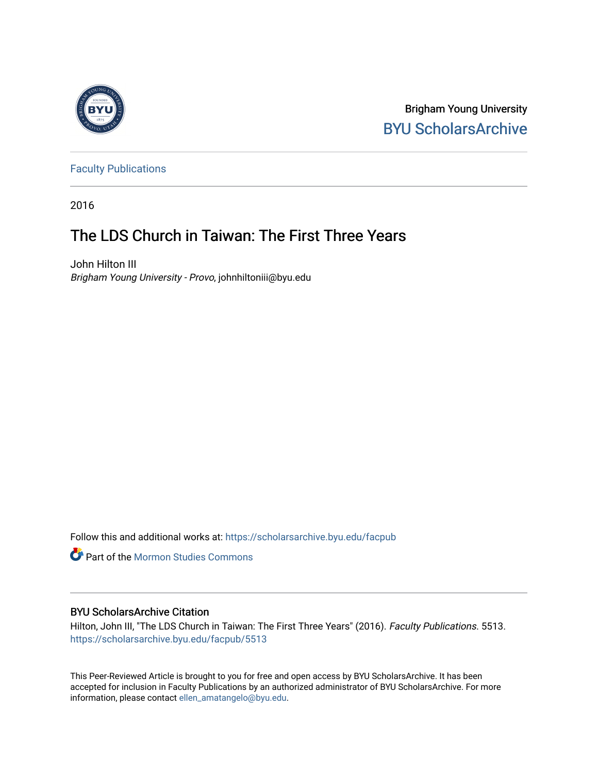

Brigham Young University [BYU ScholarsArchive](https://scholarsarchive.byu.edu/) 

[Faculty Publications](https://scholarsarchive.byu.edu/facpub)

2016

# The LDS Church in Taiwan: The First Three Years

John Hilton III Brigham Young University - Provo, johnhiltoniii@byu.edu

Follow this and additional works at: [https://scholarsarchive.byu.edu/facpub](https://scholarsarchive.byu.edu/facpub?utm_source=scholarsarchive.byu.edu%2Ffacpub%2F5513&utm_medium=PDF&utm_campaign=PDFCoverPages) 

**Part of the [Mormon Studies Commons](http://network.bepress.com/hgg/discipline/1360?utm_source=scholarsarchive.byu.edu%2Ffacpub%2F5513&utm_medium=PDF&utm_campaign=PDFCoverPages)** 

# BYU ScholarsArchive Citation

Hilton, John III, "The LDS Church in Taiwan: The First Three Years" (2016). Faculty Publications. 5513. [https://scholarsarchive.byu.edu/facpub/5513](https://scholarsarchive.byu.edu/facpub/5513?utm_source=scholarsarchive.byu.edu%2Ffacpub%2F5513&utm_medium=PDF&utm_campaign=PDFCoverPages)

This Peer-Reviewed Article is brought to you for free and open access by BYU ScholarsArchive. It has been accepted for inclusion in Faculty Publications by an authorized administrator of BYU ScholarsArchive. For more information, please contact [ellen\\_amatangelo@byu.edu.](mailto:ellen_amatangelo@byu.edu)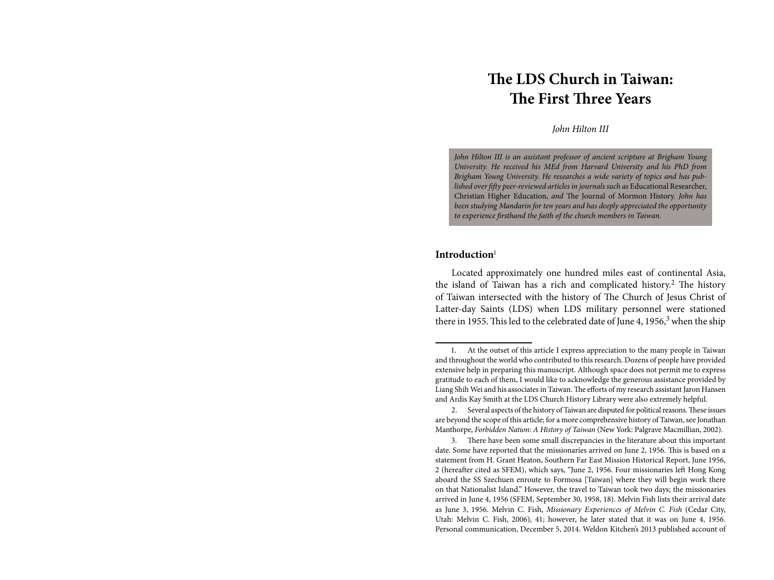# **The LDS Church in Taiwan: The First Three Years**

*John Hilton III*

*John Hilton III is an assistant professor of ancient scripture at Brigham Young University. He received his MEd from Harvard University and his PhD from Brigham Young University. He researches a wide variety of topics and has published over fifty peer-reviewed articles in journals such as* Educational Researcher, Christian Higher Education, *and* The Journal of Mormon History. *John has been studying Mandarin for ten years and has deeply appreciated the opportunity to experience firsthand the faith of the church members in Taiwan.*

## **Introduction**<sup>1</sup>

Located approximately one hundred miles east of continental Asia, the island of Taiwan has a rich and complicated history.<sup>2</sup> The history of Taiwan intersected with the history of The Church of Jesus Christ of Latter-day Saints (LDS) when LDS military personnel were stationed there in 1955. This led to the celebrated date of June 4, 1956,<sup>3</sup> when the ship

2. Several aspects of the history of Taiwan are disputed for political reasons. These issues are beyond the scope of this article; for a more comprehensive history of Taiwan, see Jonathan Manthorpe, *Forbidden Nation: A History of Taiwan* (New York: Palgrave Macmillian, 2002).

3. There have been some small discrepancies in the literature about this important date. Some have reported that the missionaries arrived on June 2, 1956. This is based on a statement from H. Grant Heaton, Southern Far East Mission Historical Report, June 1956, 2 (hereafter cited as SFEM), which says, "June 2, 1956. Four missionaries left Hong Kong aboard the SS Szechuen enroute to Formosa [Taiwan] where they will begin work there on that Nationalist Island." However, the travel to Taiwan took two days; the missionaries arrived in June 4, 1956 (SFEM, September 30, 1958, 18). Melvin Fish lists their arrival date as June 3, 1956. Melvin C. Fish, *Missionary Experiences of Melvin C. Fish* (Cedar City, Utah: Melvin C. Fish, 2006), 41; however, he later stated that it was on June 4, 1956. Personal communication, December 5, 2014. Weldon Kitchen's 2013 published account of

<sup>1.</sup> At the outset of this article I express appreciation to the many people in Taiwan and throughout the world who contributed to this research. Dozens of people have provided extensive help in preparing this manuscript. Although space does not permit me to express gratitude to each of them, I would like to acknowledge the generous assistance provided by Liang Shih Wei and his associates in Taiwan. The efforts of my research assistant Jaron Hansen and Ardis Kay Smith at the LDS Church History Library were also extremely helpful.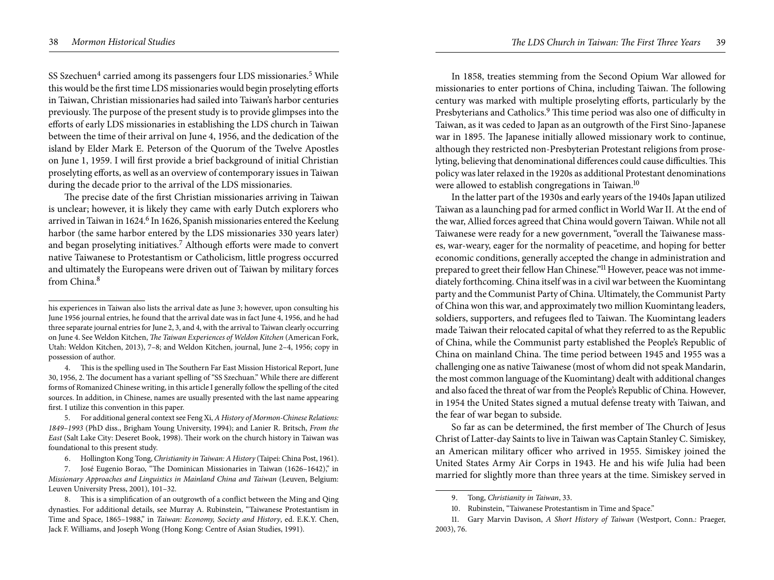SS Szechuen<sup>4</sup> carried among its passengers four LDS missionaries.<sup>5</sup> While this would be the first time LDS missionaries would begin proselyting efforts in Taiwan, Christian missionaries had sailed into Taiwan's harbor centuries previously. The purpose of the present study is to provide glimpses into the efforts of early LDS missionaries in establishing the LDS church in Taiwan between the time of their arrival on June 4, 1956, and the dedication of the island by Elder Mark E. Peterson of the Quorum of the Twelve Apostles on June 1, 1959. I will first provide a brief background of initial Christian proselyting efforts, as well as an overview of contemporary issues in Taiwan during the decade prior to the arrival of the LDS missionaries.

The precise date of the first Christian missionaries arriving in Taiwan is unclear; however, it is likely they came with early Dutch explorers who arrived in Taiwan in 1624.<sup>6</sup> In 1626, Spanish missionaries entered the Keelung harbor (the same harbor entered by the LDS missionaries 330 years later) and began proselyting initiatives.7 Although efforts were made to convert native Taiwanese to Protestantism or Catholicism, little progress occurred and ultimately the Europeans were driven out of Taiwan by military forces from China.<sup>8</sup>

In 1858, treaties stemming from the Second Opium War allowed for missionaries to enter portions of China, including Taiwan. The following century was marked with multiple proselyting efforts, particularly by the Presbyterians and Catholics.<sup>9</sup> This time period was also one of difficulty in Taiwan, as it was ceded to Japan as an outgrowth of the First Sino-Japanese war in 1895. The Japanese initially allowed missionary work to continue, although they restricted non-Presbyterian Protestant religions from proselyting, believing that denominational differences could cause difficulties. This policy was later relaxed in the 1920s as additional Protestant denominations were allowed to establish congregations in Taiwan.<sup>10</sup>

In the latter part of the 1930s and early years of the 1940s Japan utilized Taiwan as a launching pad for armed conflict in World War II. At the end of the war, Allied forces agreed that China would govern Taiwan. While not all Taiwanese were ready for a new government, "overall the Taiwanese masses, war-weary, eager for the normality of peacetime, and hoping for better economic conditions, generally accepted the change in administration and prepared to greet their fellow Han Chinese."<sup>11</sup> However, peace was not immediately forthcoming. China itself was in a civil war between the Kuomintang party and the Communist Party of China. Ultimately, the Communist Party of China won this war, and approximately two million Kuomintang leaders, soldiers, supporters, and refugees fled to Taiwan. The Kuomintang leaders made Taiwan their relocated capital of what they referred to as the Republic of China, while the Communist party established the People's Republic of China on mainland China. The time period between 1945 and 1955 was a challenging one as native Taiwanese (most of whom did not speak Mandarin, the most common language of the Kuomintang) dealt with additional changes and also faced the threat of war from the People's Republic of China. However, in 1954 the United States signed a mutual defense treaty with Taiwan, and the fear of war began to subside.

So far as can be determined, the first member of The Church of Jesus Christ of Latter-day Saints to live in Taiwan was Captain Stanley C. Simiskey, an American military officer who arrived in 1955. Simiskey joined the United States Army Air Corps in 1943. He and his wife Julia had been married for slightly more than three years at the time. Simiskey served in

his experiences in Taiwan also lists the arrival date as June 3; however, upon consulting his June 1956 journal entries, he found that the arrival date was in fact June 4, 1956, and he had three separate journal entries for June 2, 3, and 4, with the arrival to Taiwan clearly occurring on June 4. See Weldon Kitchen, *The Taiwan Experiences of Weldon Kitchen* (American Fork, Utah: Weldon Kitchen, 2013), 7–8; and Weldon Kitchen, journal, June 2–4, 1956; copy in possession of author.

<sup>4.</sup> This is the spelling used in The Southern Far East Mission Historical Report, June 30, 1956, 2. The document has a variant spelling of "SS Szechuan." While there are different forms of Romanized Chinese writing, in this article I generally follow the spelling of the cited sources. In addition, in Chinese, names are usually presented with the last name appearing first. I utilize this convention in this paper.

<sup>5.</sup> For additional general context see Feng Xi, *A History of Mormon-Chinese Relations: 1849–1993* (PhD diss., Brigham Young University, 1994); and Lanier R. Britsch, *From the East* (Salt Lake City: Deseret Book, 1998). Their work on the church history in Taiwan was foundational to this present study.

<sup>6.</sup> Hollington Kong Tong, *Christianity in Taiwan: A History* (Taipei: China Post, 1961).

<sup>7.</sup> José Eugenio Borao, "The Dominican Missionaries in Taiwan (1626–1642)," in *Missionary Approaches and Linguistics in Mainland China and Taiwan* (Leuven, Belgium: Leuven University Press, 2001), 101–32.

<sup>8.</sup> This is a simplification of an outgrowth of a conflict between the Ming and Qing dynasties. For additional details, see Murray A. Rubinstein, "Taiwanese Protestantism in Time and Space, 1865–1988," in *Taiwan: Economy, Society and History*, ed. E.K.Y. Chen, Jack F. Williams, and Joseph Wong (Hong Kong: Centre of Asian Studies, 1991).

<sup>9.</sup> Tong, *Christianity in Taiwan*, 33.

<sup>10.</sup> Rubinstein, "Taiwanese Protestantism in Time and Space."

<sup>11.</sup> Gary Marvin Davison, *A Short History of Taiwan* (Westport, Conn.: Praeger, 2003), 76.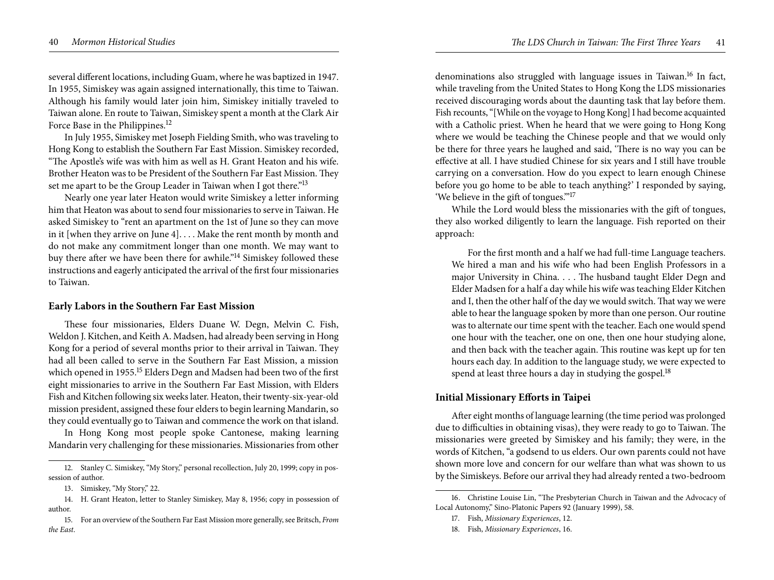several different locations, including Guam, where he was baptized in 1947. In 1955, Simiskey was again assigned internationally, this time to Taiwan. Although his family would later join him, Simiskey initially traveled to Taiwan alone. En route to Taiwan, Simiskey spent a month at the Clark Air Force Base in the Philippines.<sup>12</sup>

In July 1955, Simiskey met Joseph Fielding Smith, who was traveling to Hong Kong to establish the Southern Far East Mission. Simiskey recorded, "The Apostle's wife was with him as well as H. Grant Heaton and his wife. Brother Heaton was to be President of the Southern Far East Mission. They set me apart to be the Group Leader in Taiwan when I got there."<sup>13</sup>

Nearly one year later Heaton would write Simiskey a letter informing him that Heaton was about to send four missionaries to serve in Taiwan. He asked Simiskey to "rent an apartment on the 1st of June so they can move in it [when they arrive on June 4]. . . . Make the rent month by month and do not make any commitment longer than one month. We may want to buy there after we have been there for awhile."<sup>14</sup> Simiskey followed these instructions and eagerly anticipated the arrival of the first four missionaries to Taiwan.

## **Early Labors in the Southern Far East Mission**

These four missionaries, Elders Duane W. Degn, Melvin C. Fish, Weldon J. Kitchen, and Keith A. Madsen, had already been serving in Hong Kong for a period of several months prior to their arrival in Taiwan. They had all been called to serve in the Southern Far East Mission, a mission which opened in 1955.<sup>15</sup> Elders Degn and Madsen had been two of the first eight missionaries to arrive in the Southern Far East Mission, with Elders Fish and Kitchen following six weeks later. Heaton, their twenty-six-year-old mission president, assigned these four elders to begin learning Mandarin, so they could eventually go to Taiwan and commence the work on that island.

In Hong Kong most people spoke Cantonese, making learning Mandarin very challenging for these missionaries. Missionaries from other

- 14. H. Grant Heaton, letter to Stanley Simiskey, May 8, 1956; copy in possession of author.
- 15. For an overview of the Southern Far East Mission more generally, see Britsch, *From the East*.

denominations also struggled with language issues in Taiwan.16 In fact, while traveling from the United States to Hong Kong the LDS missionaries received discouraging words about the daunting task that lay before them. Fish recounts, "[While on the voyage to Hong Kong] I had become acquainted with a Catholic priest. When he heard that we were going to Hong Kong where we would be teaching the Chinese people and that we would only be there for three years he laughed and said, 'There is no way you can be effective at all. I have studied Chinese for six years and I still have trouble carrying on a conversation. How do you expect to learn enough Chinese before you go home to be able to teach anything?' I responded by saying, 'We believe in the gift of tongues.'"<sup>17</sup>

While the Lord would bless the missionaries with the gift of tongues, they also worked diligently to learn the language. Fish reported on their approach:

For the first month and a half we had full-time Language teachers. We hired a man and his wife who had been English Professors in a major University in China. . . . The husband taught Elder Degn and Elder Madsen for a half a day while his wife was teaching Elder Kitchen and I, then the other half of the day we would switch. That way we were able to hear the language spoken by more than one person. Our routine was to alternate our time spent with the teacher. Each one would spend one hour with the teacher, one on one, then one hour studying alone, and then back with the teacher again. This routine was kept up for ten hours each day. In addition to the language study, we were expected to spend at least three hours a day in studying the gospel.<sup>18</sup>

# **Initial Missionary Efforts in Taipei**

After eight months of language learning (the time period was prolonged due to difficulties in obtaining visas), they were ready to go to Taiwan. The missionaries were greeted by Simiskey and his family; they were, in the words of Kitchen, "a godsend to us elders. Our own parents could not have shown more love and concern for our welfare than what was shown to us by the Simiskeys. Before our arrival they had already rented a two-bedroom

<sup>12.</sup> Stanley C. Simiskey, "My Story," personal recollection, July 20, 1999; copy in possession of author.

<sup>13.</sup> Simiskey, "My Story," 22.

<sup>16.</sup> Christine Louise Lin, "The Presbyterian Church in Taiwan and the Advocacy of Local Autonomy," Sino-Platonic Papers 92 (January 1999), 58.

<sup>17.</sup> Fish, *Missionary Experiences*, 12.

<sup>18.</sup> Fish, *Missionary Experiences*, 16.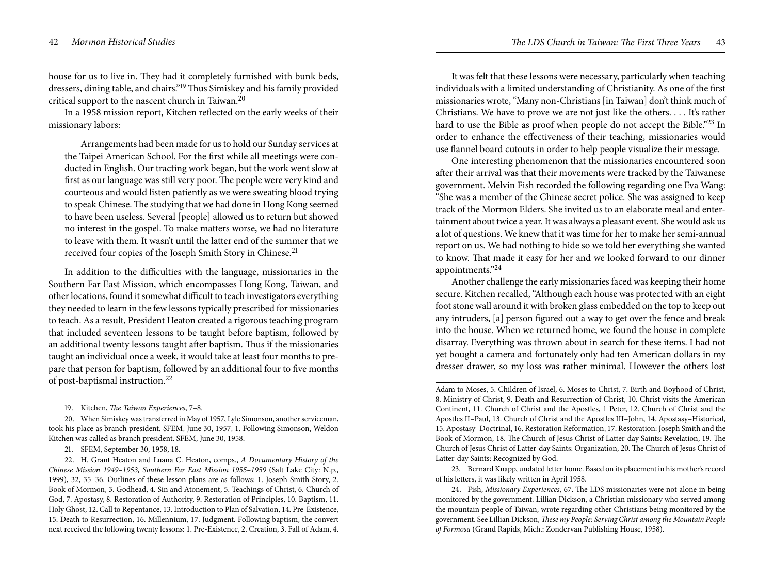house for us to live in. They had it completely furnished with bunk beds, dressers, dining table, and chairs."19 Thus Simiskey and his family provided critical support to the nascent church in Taiwan.20

In a 1958 mission report, Kitchen reflected on the early weeks of their missionary labors:

Arrangements had been made for us to hold our Sunday services at the Taipei American School. For the first while all meetings were conducted in English. Our tracting work began, but the work went slow at first as our language was still very poor. The people were very kind and courteous and would listen patiently as we were sweating blood trying to speak Chinese. The studying that we had done in Hong Kong seemed to have been useless. Several [people] allowed us to return but showed no interest in the gospel. To make matters worse, we had no literature to leave with them. It wasn't until the latter end of the summer that we received four copies of the Joseph Smith Story in Chinese.21

In addition to the difficulties with the language, missionaries in the Southern Far East Mission, which encompasses Hong Kong, Taiwan, and other locations, found it somewhat difficult to teach investigators everything they needed to learn in the few lessons typically prescribed for missionaries to teach. As a result, President Heaton created a rigorous teaching program that included seventeen lessons to be taught before baptism, followed by an additional twenty lessons taught after baptism. Thus if the missionaries taught an individual once a week, it would take at least four months to prepare that person for baptism, followed by an additional four to five months of post-baptismal instruction.<sup>22</sup>

It was felt that these lessons were necessary, particularly when teaching individuals with a limited understanding of Christianity. As one of the first missionaries wrote, "Many non-Christians [in Taiwan] don't think much of Christians. We have to prove we are not just like the others. . . . It's rather hard to use the Bible as proof when people do not accept the Bible."<sup>23</sup> In order to enhance the effectiveness of their teaching, missionaries would use flannel board cutouts in order to help people visualize their message.

One interesting phenomenon that the missionaries encountered soon after their arrival was that their movements were tracked by the Taiwanese government. Melvin Fish recorded the following regarding one Eva Wang: "She was a member of the Chinese secret police. She was assigned to keep track of the Mormon Elders. She invited us to an elaborate meal and entertainment about twice a year. It was always a pleasant event. She would ask us a lot of questions. We knew that it was time for her to make her semi-annual report on us. We had nothing to hide so we told her everything she wanted to know. That made it easy for her and we looked forward to our dinner appointments."24

Another challenge the early missionaries faced was keeping their home secure. Kitchen recalled, "Although each house was protected with an eight foot stone wall around it with broken glass embedded on the top to keep out any intruders, [a] person figured out a way to get over the fence and break into the house. When we returned home, we found the house in complete disarray. Everything was thrown about in search for these items. I had not yet bought a camera and fortunately only had ten American dollars in my dresser drawer, so my loss was rather minimal. However the others lost

<sup>19.</sup> Kitchen, *The Taiwan Experiences*, 7–8.

<sup>20.</sup> When Simiskey was transferred in May of 1957, Lyle Simonson, another serviceman, took his place as branch president. SFEM, June 30, 1957, 1. Following Simonson, Weldon Kitchen was called as branch president. SFEM, June 30, 1958.

<sup>21.</sup> SFEM, September 30, 1958, 18.

<sup>22.</sup> H. Grant Heaton and Luana C. Heaton, comps., *A Documentary History of the Chinese Mission 1949–1953, Southern Far East Mission 1955–1959* (Salt Lake City: N.p., 1999), 32, 35–36. Outlines of these lesson plans are as follows: 1. Joseph Smith Story, 2. Book of Mormon, 3. Godhead, 4. Sin and Atonement, 5. Teachings of Christ, 6. Church of God, 7. Apostasy, 8. Restoration of Authority, 9. Restoration of Principles, 10. Baptism, 11. Holy Ghost, 12. Call to Repentance, 13. Introduction to Plan of Salvation, 14. Pre-Existence, 15. Death to Resurrection, 16. Millennium, 17. Judgment. Following baptism, the convert next received the following twenty lessons: 1. Pre-Existence, 2. Creation, 3. Fall of Adam, 4.

Adam to Moses, 5. Children of Israel, 6. Moses to Christ, 7. Birth and Boyhood of Christ, 8. Ministry of Christ, 9. Death and Resurrection of Christ, 10. Christ visits the American Continent, 11. Church of Christ and the Apostles, 1 Peter, 12. Church of Christ and the Apostles II–Paul, 13. Church of Christ and the Apostles III–John, 14. Apostasy–Historical, 15. Apostasy–Doctrinal, 16. Restoration Reformation, 17. Restoration: Joseph Smith and the Book of Mormon, 18. The Church of Jesus Christ of Latter-day Saints: Revelation, 19. The Church of Jesus Christ of Latter-day Saints: Organization, 20. The Church of Jesus Christ of Latter-day Saints: Recognized by God.

<sup>23.</sup> Bernard Knapp, undated letter home. Based on its placement in his mother's record of his letters, it was likely written in April 1958.

<sup>24.</sup> Fish, *Missionary Experiences*, 67. The LDS missionaries were not alone in being monitored by the government. Lillian Dickson, a Christian missionary who served among the mountain people of Taiwan, wrote regarding other Christians being monitored by the government. See Lillian Dickson, *These my People: Serving Christ among the Mountain People of Formosa* (Grand Rapids, Mich.: Zondervan Publishing House, 1958).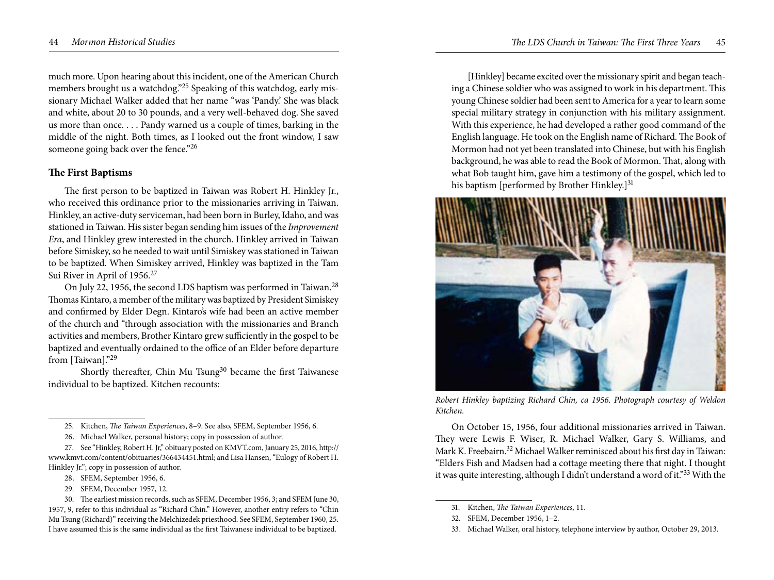much more. Upon hearing about this incident, one of the American Church members brought us a watchdog."25 Speaking of this watchdog, early missionary Michael Walker added that her name "was 'Pandy.' She was black and white, about 20 to 30 pounds, and a very well-behaved dog. She saved us more than once. . . . Pandy warned us a couple of times, barking in the middle of the night. Both times, as I looked out the front window, I saw someone going back over the fence."26

# **The First Baptisms**

The first person to be baptized in Taiwan was Robert H. Hinkley Jr., who received this ordinance prior to the missionaries arriving in Taiwan. Hinkley, an active-duty serviceman, had been born in Burley, Idaho, and was stationed in Taiwan. His sister began sending him issues of the *Improvement Era*, and Hinkley grew interested in the church. Hinkley arrived in Taiwan before Simiskey, so he needed to wait until Simiskey was stationed in Taiwan to be baptized. When Simiskey arrived, Hinkley was baptized in the Tam Sui River in April of 1956.<sup>27</sup>

On July 22, 1956, the second LDS baptism was performed in Taiwan.<sup>28</sup> Thomas Kintaro, a member of the military was baptized by President Simiskey and confirmed by Elder Degn. Kintaro's wife had been an active member of the church and "through association with the missionaries and Branch activities and members, Brother Kintaro grew sufficiently in the gospel to be baptized and eventually ordained to the office of an Elder before departure from [Taiwan]."29

Shortly thereafter, Chin Mu Tsung<sup>30</sup> became the first Taiwanese individual to be baptized. Kitchen recounts:

- 28. SFEM, September 1956, 6.
- 29. SFEM, December 1957, 12.

30. The earliest mission records, such as SFEM, December 1956, 3; and SFEM June 30, 1957, 9, refer to this individual as "Richard Chin." However, another entry refers to "Chin Mu Tsung (Richard)" receiving the Melchizedek priesthood. See SFEM, September 1960, 25. I have assumed this is the same individual as the first Taiwanese individual to be baptized.

[Hinkley] became excited over the missionary spirit and began teaching a Chinese soldier who was assigned to work in his department. This young Chinese soldier had been sent to America for a year to learn some special military strategy in conjunction with his military assignment. With this experience, he had developed a rather good command of the English language. He took on the English name of Richard. The Book of Mormon had not yet been translated into Chinese, but with his English background, he was able to read the Book of Mormon. That, along with what Bob taught him, gave him a testimony of the gospel, which led to his baptism [performed by Brother Hinkley.]<sup>31</sup>



*Robert Hinkley baptizing Richard Chin, ca 1956. Photograph courtesy of Weldon Kitchen.* 

On October 15, 1956, four additional missionaries arrived in Taiwan. They were Lewis F. Wiser, R. Michael Walker, Gary S. Williams, and Mark K. Freebairn.<sup>32</sup> Michael Walker reminisced about his first day in Taiwan: "Elders Fish and Madsen had a cottage meeting there that night. I thought it was quite interesting, although I didn't understand a word of it."33 With the

<sup>25.</sup> Kitchen, *The Taiwan Experiences*, 8–9. See also, SFEM, September 1956, 6.

<sup>26.</sup> Michael Walker, personal history; copy in possession of author.

<sup>27.</sup> See "Hinkley, Robert H. Jr," obituary posted on KMVT.com, January 25, 2016, http:// www.kmvt.com/content/obituaries/366434451.html; and Lisa Hansen, "Eulogy of Robert H. Hinkley Jr."; copy in possession of author.

<sup>31.</sup> Kitchen, *The Taiwan Experiences*, 11.

<sup>32.</sup> SFEM, December 1956, 1–2.

<sup>33.</sup> Michael Walker, oral history, telephone interview by author, October 29, 2013.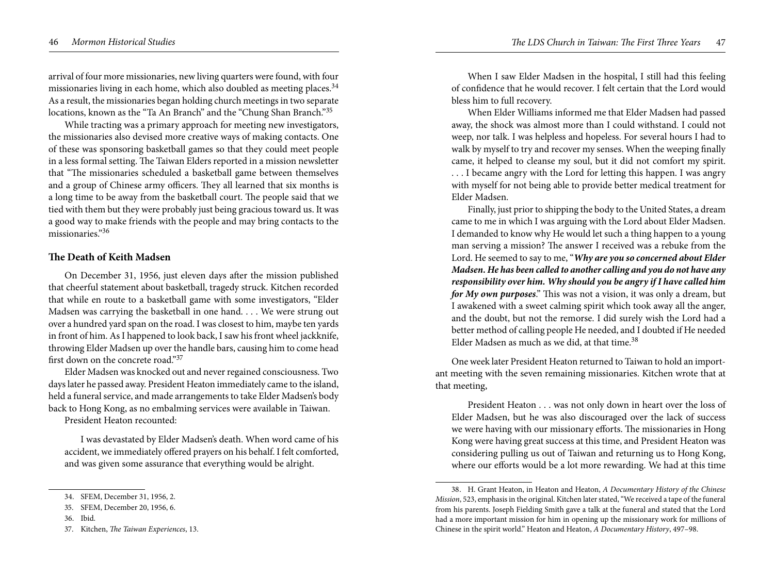arrival of four more missionaries, new living quarters were found, with four missionaries living in each home, which also doubled as meeting places.<sup>34</sup> As a result, the missionaries began holding church meetings in two separate locations, known as the "Ta An Branch" and the "Chung Shan Branch."35

While tracting was a primary approach for meeting new investigators, the missionaries also devised more creative ways of making contacts. One of these was sponsoring basketball games so that they could meet people in a less formal setting. The Taiwan Elders reported in a mission newsletter that "The missionaries scheduled a basketball game between themselves and a group of Chinese army officers. They all learned that six months is a long time to be away from the basketball court. The people said that we tied with them but they were probably just being gracious toward us. It was a good way to make friends with the people and may bring contacts to the missionaries."36

# **The Death of Keith Madsen**

On December 31, 1956, just eleven days after the mission published that cheerful statement about basketball, tragedy struck. Kitchen recorded that while en route to a basketball game with some investigators, "Elder Madsen was carrying the basketball in one hand. . . . We were strung out over a hundred yard span on the road. I was closest to him, maybe ten yards in front of him. As I happened to look back, I saw his front wheel jackknife, throwing Elder Madsen up over the handle bars, causing him to come head first down on the concrete road."37

Elder Madsen was knocked out and never regained consciousness. Two days later he passed away. President Heaton immediately came to the island, held a funeral service, and made arrangements to take Elder Madsen's body back to Hong Kong, as no embalming services were available in Taiwan.

President Heaton recounted:

I was devastated by Elder Madsen's death. When word came of his accident, we immediately offered prayers on his behalf. I felt comforted, and was given some assurance that everything would be alright.

When I saw Elder Madsen in the hospital, I still had this feeling of confidence that he would recover. I felt certain that the Lord would bless him to full recovery.

When Elder Williams informed me that Elder Madsen had passed away, the shock was almost more than I could withstand. I could not weep, nor talk. I was helpless and hopeless. For several hours I had to walk by myself to try and recover my senses. When the weeping finally came, it helped to cleanse my soul, but it did not comfort my spirit.

. . . I became angry with the Lord for letting this happen. I was angry with myself for not being able to provide better medical treatment for Elder Madsen.

Finally, just prior to shipping the body to the United States, a dream came to me in which I was arguing with the Lord about Elder Madsen. I demanded to know why He would let such a thing happen to a young man serving a mission? The answer I received was a rebuke from the Lord. He seemed to say to me, "*Why are you so concerned about Elder Madsen. He has been called to another calling and you do not have any responsibility over him. Why should you be angry if I have called him for My own purposes*." This was not a vision, it was only a dream, but I awakened with a sweet calming spirit which took away all the anger, and the doubt, but not the remorse. I did surely wish the Lord had a better method of calling people He needed, and I doubted if He needed Elder Madsen as much as we did, at that time.<sup>38</sup>

One week later President Heaton returned to Taiwan to hold an important meeting with the seven remaining missionaries. Kitchen wrote that at that meeting,

President Heaton . . . was not only down in heart over the loss of Elder Madsen, but he was also discouraged over the lack of success we were having with our missionary efforts. The missionaries in Hong Kong were having great success at this time, and President Heaton was considering pulling us out of Taiwan and returning us to Hong Kong, where our efforts would be a lot more rewarding. We had at this time

<sup>34.</sup> SFEM, December 31, 1956, 2.

<sup>35.</sup> SFEM, December 20, 1956, 6.

<sup>36.</sup> Ibid.

<sup>37.</sup> Kitchen, *The Taiwan Experiences*, 13.

<sup>38.</sup> H. Grant Heaton, in Heaton and Heaton, *A Documentary History of the Chinese Mission*, 523, emphasis in the original. Kitchen later stated, "We received a tape of the funeral from his parents. Joseph Fielding Smith gave a talk at the funeral and stated that the Lord had a more important mission for him in opening up the missionary work for millions of Chinese in the spirit world." Heaton and Heaton, *A Documentary History*, 497–98.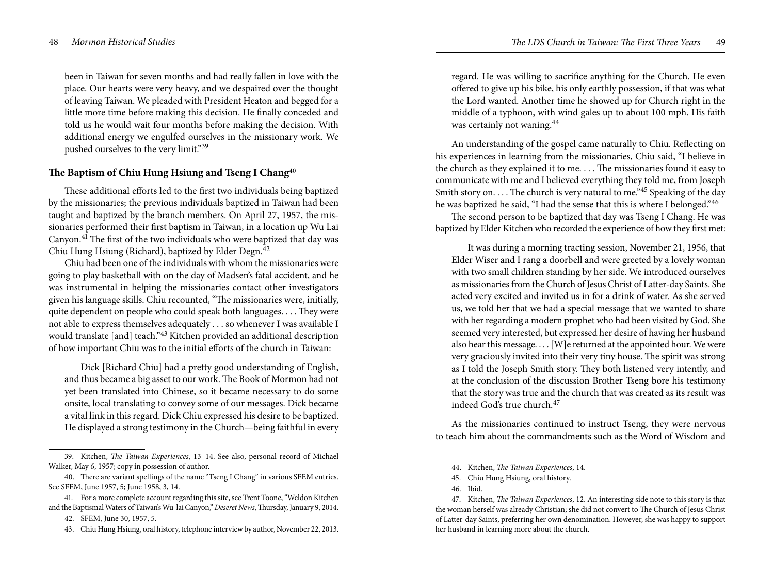been in Taiwan for seven months and had really fallen in love with the place. Our hearts were very heavy, and we despaired over the thought of leaving Taiwan. We pleaded with President Heaton and begged for a little more time before making this decision. He finally conceded and told us he would wait four months before making the decision. With additional energy we engulfed ourselves in the missionary work. We pushed ourselves to the very limit."39

# **The Baptism of Chiu Hung Hsiung and Tseng I Chang**<sup>40</sup>

These additional efforts led to the first two individuals being baptized by the missionaries; the previous individuals baptized in Taiwan had been taught and baptized by the branch members. On April 27, 1957, the missionaries performed their first baptism in Taiwan, in a location up Wu Lai Canyon.41 The first of the two individuals who were baptized that day was Chiu Hung Hsiung (Richard), baptized by Elder Degn.42

Chiu had been one of the individuals with whom the missionaries were going to play basketball with on the day of Madsen's fatal accident, and he was instrumental in helping the missionaries contact other investigators given his language skills. Chiu recounted, "The missionaries were, initially, quite dependent on people who could speak both languages. . . . They were not able to express themselves adequately . . . so whenever I was available I would translate [and] teach."43 Kitchen provided an additional description of how important Chiu was to the initial efforts of the church in Taiwan:

Dick [Richard Chiu] had a pretty good understanding of English, and thus became a big asset to our work. The Book of Mormon had not yet been translated into Chinese, so it became necessary to do some onsite, local translating to convey some of our messages. Dick became a vital link in this regard. Dick Chiu expressed his desire to be baptized. He displayed a strong testimony in the Church—being faithful in every

regard. He was willing to sacrifice anything for the Church. He even offered to give up his bike, his only earthly possession, if that was what the Lord wanted. Another time he showed up for Church right in the middle of a typhoon, with wind gales up to about 100 mph. His faith was certainly not waning.44

An understanding of the gospel came naturally to Chiu. Reflecting on his experiences in learning from the missionaries, Chiu said, "I believe in the church as they explained it to me. . . . The missionaries found it easy to communicate with me and I believed everything they told me, from Joseph Smith story on. . . . The church is very natural to me."<sup>45</sup> Speaking of the day he was baptized he said, "I had the sense that this is where I belonged."<sup>46</sup>

The second person to be baptized that day was Tseng I Chang. He was baptized by Elder Kitchen who recorded the experience of how they first met:

It was during a morning tracting session, November 21, 1956, that Elder Wiser and I rang a doorbell and were greeted by a lovely woman with two small children standing by her side. We introduced ourselves as missionaries from the Church of Jesus Christ of Latter-day Saints. She acted very excited and invited us in for a drink of water. As she served us, we told her that we had a special message that we wanted to share with her regarding a modern prophet who had been visited by God. She seemed very interested, but expressed her desire of having her husband also hear this message. . . . [W]e returned at the appointed hour. We were very graciously invited into their very tiny house. The spirit was strong as I told the Joseph Smith story. They both listened very intently, and at the conclusion of the discussion Brother Tseng bore his testimony that the story was true and the church that was created as its result was indeed God's true church.<sup>47</sup>

As the missionaries continued to instruct Tseng, they were nervous to teach him about the commandments such as the Word of Wisdom and

<sup>39.</sup> Kitchen, *The Taiwan Experiences*, 13–14. See also, personal record of Michael Walker, May 6, 1957; copy in possession of author.

<sup>40.</sup> There are variant spellings of the name "Tseng I Chang" in various SFEM entries. See SFEM, June 1957, 5; June 1958, 3, 14.

<sup>41.</sup> For a more complete account regarding this site, see Trent Toone, "Weldon Kitchen and the Baptismal Waters of Taiwan's Wu-lai Canyon," *Deseret News*, Thursday, January 9, 2014. 42. SFEM, June 30, 1957, 5.

<sup>43.</sup> Chiu Hung Hsiung, oral history, telephone interview by author, November 22, 2013.

<sup>44.</sup> Kitchen, *The Taiwan Experiences*, 14.

<sup>45.</sup> Chiu Hung Hsiung, oral history.

<sup>46.</sup> Ibid.

<sup>47.</sup> Kitchen, *The Taiwan Experiences*, 12. An interesting side note to this story is that the woman herself was already Christian; she did not convert to The Church of Jesus Christ of Latter-day Saints, preferring her own denomination. However, she was happy to support her husband in learning more about the church.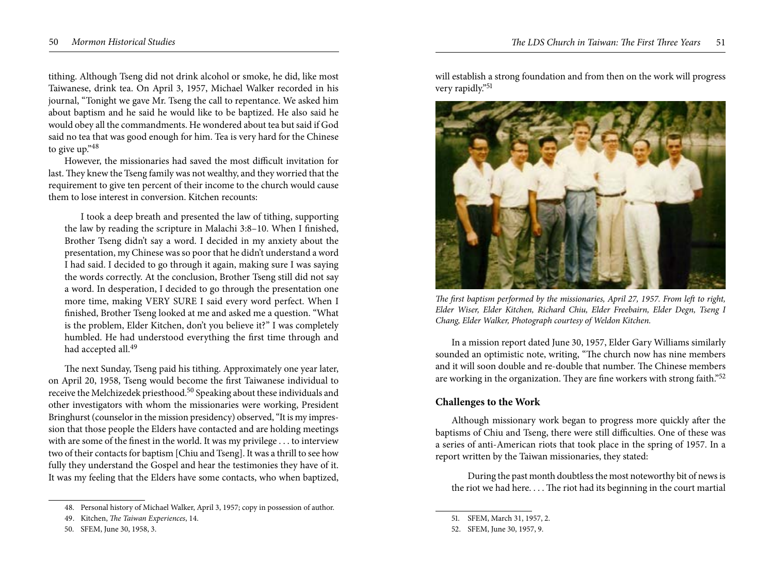tithing. Although Tseng did not drink alcohol or smoke, he did, like most Taiwanese, drink tea. On April 3, 1957, Michael Walker recorded in his journal, "Tonight we gave Mr. Tseng the call to repentance. We asked him about baptism and he said he would like to be baptized. He also said he would obey all the commandments. He wondered about tea but said if God said no tea that was good enough for him. Tea is very hard for the Chinese to give up."<sup>48</sup>

However, the missionaries had saved the most difficult invitation for last. They knew the Tseng family was not wealthy, and they worried that the requirement to give ten percent of their income to the church would cause them to lose interest in conversion. Kitchen recounts:

I took a deep breath and presented the law of tithing, supporting the law by reading the scripture in Malachi 3:8–10. When I finished, Brother Tseng didn't say a word. I decided in my anxiety about the presentation, my Chinese was so poor that he didn't understand a word I had said. I decided to go through it again, making sure I was saying the words correctly. At the conclusion, Brother Tseng still did not say a word. In desperation, I decided to go through the presentation one more time, making VERY SURE I said every word perfect. When I finished, Brother Tseng looked at me and asked me a question. "What is the problem, Elder Kitchen, don't you believe it?" I was completely humbled. He had understood everything the first time through and had accepted all.<sup>49</sup>

The next Sunday, Tseng paid his tithing. Approximately one year later, on April 20, 1958, Tseng would become the first Taiwanese individual to receive the Melchizedek priesthood.50 Speaking about these individuals and other investigators with whom the missionaries were working, President Bringhurst (counselor in the mission presidency) observed, "It is my impression that those people the Elders have contacted and are holding meetings with are some of the finest in the world. It was my privilege . . . to interview two of their contacts for baptism [Chiu and Tseng]. It was a thrill to see how fully they understand the Gospel and hear the testimonies they have of it. It was my feeling that the Elders have some contacts, who when baptized,

will establish a strong foundation and from then on the work will progress very rapidly."51



*The first baptism performed by the missionaries, April 27, 1957. From left to right, Elder Wiser, Elder Kitchen, Richard Chiu, Elder Freebairn, Elder Degn, Tseng I Chang, Elder Walker, Photograph courtesy of Weldon Kitchen.* 

In a mission report dated June 30, 1957, Elder Gary Williams similarly sounded an optimistic note, writing, "The church now has nine members and it will soon double and re-double that number. The Chinese members are working in the organization. They are fine workers with strong faith."<sup>52</sup>

## **Challenges to the Work**

Although missionary work began to progress more quickly after the baptisms of Chiu and Tseng, there were still difficulties. One of these was a series of anti-American riots that took place in the spring of 1957. In a report written by the Taiwan missionaries, they stated:

During the past month doubtless the most noteworthy bit of news is the riot we had here. . . . The riot had its beginning in the court martial

<sup>48.</sup> Personal history of Michael Walker, April 3, 1957; copy in possession of author.

<sup>49.</sup> Kitchen, *The Taiwan Experiences*, 14.

<sup>50.</sup> SFEM, June 30, 1958, 3.

<sup>51.</sup> SFEM, March 31, 1957, 2.

<sup>52.</sup> SFEM, June 30, 1957, 9.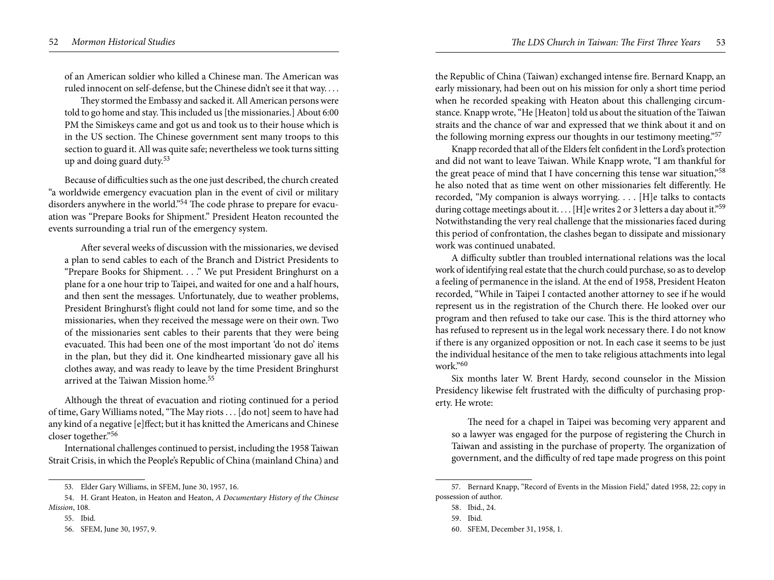of an American soldier who killed a Chinese man. The American was ruled innocent on self-defense, but the Chinese didn't see it that way. . . .

They stormed the Embassy and sacked it. All American persons were told to go home and stay. This included us [the missionaries.] About 6:00 PM the Simiskeys came and got us and took us to their house which is in the US section. The Chinese government sent many troops to this section to guard it. All was quite safe; nevertheless we took turns sitting up and doing guard duty.53

Because of difficulties such as the one just described, the church created "a worldwide emergency evacuation plan in the event of civil or military disorders anywhere in the world."54 The code phrase to prepare for evacuation was "Prepare Books for Shipment." President Heaton recounted the events surrounding a trial run of the emergency system.

After several weeks of discussion with the missionaries, we devised a plan to send cables to each of the Branch and District Presidents to "Prepare Books for Shipment. . . ." We put President Bringhurst on a plane for a one hour trip to Taipei, and waited for one and a half hours, and then sent the messages. Unfortunately, due to weather problems, President Bringhurst's flight could not land for some time, and so the missionaries, when they received the message were on their own. Two of the missionaries sent cables to their parents that they were being evacuated. This had been one of the most important 'do not do' items in the plan, but they did it. One kindhearted missionary gave all his clothes away, and was ready to leave by the time President Bringhurst arrived at the Taiwan Mission home.<sup>55</sup>

Although the threat of evacuation and rioting continued for a period of time, Gary Williams noted, "The May riots . . . [do not] seem to have had any kind of a negative [e]ffect; but it has knitted the Americans and Chinese closer together."56

International challenges continued to persist, including the 1958 Taiwan Strait Crisis, in which the People's Republic of China (mainland China) and

the Republic of China (Taiwan) exchanged intense fire. Bernard Knapp, an early missionary, had been out on his mission for only a short time period when he recorded speaking with Heaton about this challenging circumstance. Knapp wrote, "He [Heaton] told us about the situation of the Taiwan straits and the chance of war and expressed that we think about it and on the following morning express our thoughts in our testimony meeting."57

Knapp recorded that all of the Elders felt confident in the Lord's protection and did not want to leave Taiwan. While Knapp wrote, "I am thankful for the great peace of mind that I have concerning this tense war situation,"<sup>58</sup> he also noted that as time went on other missionaries felt differently. He recorded, "My companion is always worrying. . . . [H]e talks to contacts during cottage meetings about it.... [H]e writes 2 or 3 letters a day about it."<sup>59</sup> Notwithstanding the very real challenge that the missionaries faced during this period of confrontation, the clashes began to dissipate and missionary work was continued unabated.

A difficulty subtler than troubled international relations was the local work of identifying real estate that the church could purchase, so as to develop a feeling of permanence in the island. At the end of 1958, President Heaton recorded, "While in Taipei I contacted another attorney to see if he would represent us in the registration of the Church there. He looked over our program and then refused to take our case. This is the third attorney who has refused to represent us in the legal work necessary there. I do not know if there is any organized opposition or not. In each case it seems to be just the individual hesitance of the men to take religious attachments into legal work."60

Six months later W. Brent Hardy, second counselor in the Mission Presidency likewise felt frustrated with the difficulty of purchasing property. He wrote:

The need for a chapel in Taipei was becoming very apparent and so a lawyer was engaged for the purpose of registering the Church in Taiwan and assisting in the purchase of property. The organization of government, and the difficulty of red tape made progress on this point

<sup>53.</sup> Elder Gary Williams, in SFEM, June 30, 1957, 16.

<sup>54.</sup> H. Grant Heaton, in Heaton and Heaton, *A Documentary History of the Chinese Mission*, 108.

<sup>55.</sup> Ibid.

<sup>56.</sup> SFEM, June 30, 1957, 9.

<sup>57.</sup> Bernard Knapp, "Record of Events in the Mission Field," dated 1958, 22; copy in possession of author.

<sup>58.</sup> Ibid., 24.

<sup>59.</sup> Ibid.

<sup>60.</sup> SFEM, December 31, 1958, 1.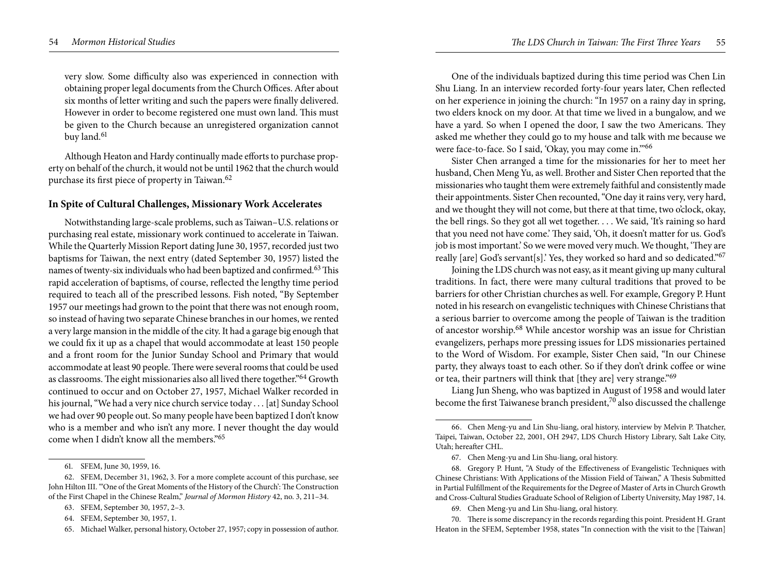very slow. Some difficulty also was experienced in connection with obtaining proper legal documents from the Church Offices. After about six months of letter writing and such the papers were finally delivered. However in order to become registered one must own land. This must be given to the Church because an unregistered organization cannot buy land.<sup>61</sup>

Although Heaton and Hardy continually made efforts to purchase property on behalf of the church, it would not be until 1962 that the church would purchase its first piece of property in Taiwan.<sup>62</sup>

# **In Spite of Cultural Challenges, Missionary Work Accelerates**

Notwithstanding large-scale problems, such as Taiwan–U.S. relations or purchasing real estate, missionary work continued to accelerate in Taiwan. While the Quarterly Mission Report dating June 30, 1957, recorded just two baptisms for Taiwan, the next entry (dated September 30, 1957) listed the names of twenty-six individuals who had been baptized and confirmed.<sup>63</sup> This rapid acceleration of baptisms, of course, reflected the lengthy time period required to teach all of the prescribed lessons. Fish noted, "By September 1957 our meetings had grown to the point that there was not enough room, so instead of having two separate Chinese branches in our homes, we rented a very large mansion in the middle of the city. It had a garage big enough that we could fix it up as a chapel that would accommodate at least 150 people and a front room for the Junior Sunday School and Primary that would accommodate at least 90 people. There were several rooms that could be used as classrooms. The eight missionaries also all lived there together."64 Growth continued to occur and on October 27, 1957, Michael Walker recorded in his journal, "We had a very nice church service today . . . [at] Sunday School we had over 90 people out. So many people have been baptized I don't know who is a member and who isn't any more. I never thought the day would come when I didn't know all the members."65

One of the individuals baptized during this time period was Chen Lin Shu Liang. In an interview recorded forty-four years later, Chen reflected on her experience in joining the church: "In 1957 on a rainy day in spring, two elders knock on my door. At that time we lived in a bungalow, and we have a yard. So when I opened the door, I saw the two Americans. They asked me whether they could go to my house and talk with me because we were face-to-face. So I said, 'Okay, you may come in.'"66

Sister Chen arranged a time for the missionaries for her to meet her husband, Chen Meng Yu, as well. Brother and Sister Chen reported that the missionaries who taught them were extremely faithful and consistently made their appointments. Sister Chen recounted, "One day it rains very, very hard, and we thought they will not come, but there at that time, two o'clock, okay, the bell rings. So they got all wet together. . . . We said, 'It's raining so hard that you need not have come.' They said, 'Oh, it doesn't matter for us. God's job is most important.' So we were moved very much. We thought, 'They are really [are] God's servant[s].' Yes, they worked so hard and so dedicated."<sup>67</sup>

Joining the LDS church was not easy, as it meant giving up many cultural traditions. In fact, there were many cultural traditions that proved to be barriers for other Christian churches as well. For example, Gregory P. Hunt noted in his research on evangelistic techniques with Chinese Christians that a serious barrier to overcome among the people of Taiwan is the tradition of ancestor worship.68 While ancestor worship was an issue for Christian evangelizers, perhaps more pressing issues for LDS missionaries pertained to the Word of Wisdom. For example, Sister Chen said, "In our Chinese party, they always toast to each other. So if they don't drink coffee or wine or tea, their partners will think that [they are] very strange."<sup>69</sup>

Liang Jun Sheng, who was baptized in August of 1958 and would later become the first Taiwanese branch president, $70$  also discussed the challenge

<sup>61.</sup> SFEM, June 30, 1959, 16.

<sup>62.</sup> SFEM, December 31, 1962, 3. For a more complete account of this purchase, see John Hilton III. "'One of the Great Moments of the History of the Church': The Construction of the First Chapel in the Chinese Realm," *Journal of Mormon History* 42, no. 3, 211–34.

<sup>63.</sup> SFEM, September 30, 1957, 2–3.

<sup>64.</sup> SFEM, September 30, 1957, 1.

<sup>65.</sup> Michael Walker, personal history, October 27, 1957; copy in possession of author.

<sup>66.</sup> Chen Meng-yu and Lin Shu-liang, oral history, interview by Melvin P. Thatcher, Taipei, Taiwan, October 22, 2001, OH 2947, LDS Church History Library, Salt Lake City, Utah; hereafter CHL.

<sup>67.</sup> Chen Meng-yu and Lin Shu-liang, oral history.

<sup>68.</sup> Gregory P. Hunt, "A Study of the Effectiveness of Evangelistic Techniques with Chinese Christians: With Applications of the Mission Field of Taiwan," A Thesis Submitted in Partial Fulfillment of the Requirements for the Degree of Master of Arts in Church Growth and Cross-Cultural Studies Graduate School of Religion of Liberty University, May 1987, 14.

<sup>69.</sup> Chen Meng-yu and Lin Shu-liang, oral history.

<sup>70.</sup> There is some discrepancy in the records regarding this point. President H. Grant Heaton in the SFEM, September 1958, states "In connection with the visit to the [Taiwan]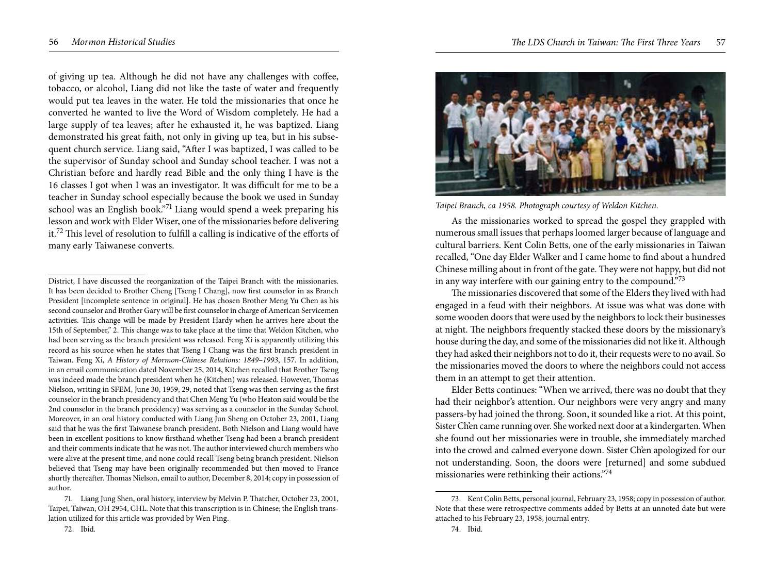of giving up tea. Although he did not have any challenges with coffee, tobacco, or alcohol, Liang did not like the taste of water and frequently would put tea leaves in the water. He told the missionaries that once he converted he wanted to live the Word of Wisdom completely. He had a large supply of tea leaves; after he exhausted it, he was baptized. Liang demonstrated his great faith, not only in giving up tea, but in his subsequent church service. Liang said, "After I was baptized, I was called to be the supervisor of Sunday school and Sunday school teacher. I was not a Christian before and hardly read Bible and the only thing I have is the 16 classes I got when I was an investigator. It was difficult for me to be a teacher in Sunday school especially because the book we used in Sunday school was an English book."71 Liang would spend a week preparing his lesson and work with Elder Wiser, one of the missionaries before delivering it.72 This level of resolution to fulfill a calling is indicative of the efforts of many early Taiwanese converts.



*Taipei Branch, ca 1958. Photograph courtesy of Weldon Kitchen.* 

As the missionaries worked to spread the gospel they grappled with numerous small issues that perhaps loomed larger because of language and cultural barriers. Kent Colin Betts, one of the early missionaries in Taiwan recalled, "One day Elder Walker and I came home to find about a hundred Chinese milling about in front of the gate. They were not happy, but did not in any way interfere with our gaining entry to the compound."73

The missionaries discovered that some of the Elders they lived with had engaged in a feud with their neighbors. At issue was what was done with some wooden doors that were used by the neighbors to lock their businesses at night. The neighbors frequently stacked these doors by the missionary's house during the day, and some of the missionaries did not like it. Although they had asked their neighbors not to do it, their requests were to no avail. So the missionaries moved the doors to where the neighbors could not access them in an attempt to get their attention.

Elder Betts continues: "When we arrived, there was no doubt that they had their neighbor's attention. Our neighbors were very angry and many passers-by had joined the throng. Soon, it sounded like a riot. At this point, Sister Ch'en came running over. She worked next door at a kindergarten. When she found out her missionaries were in trouble, she immediately marched into the crowd and calmed everyone down. Sister Ch'en apologized for our not understanding. Soon, the doors were [returned] and some subdued missionaries were rethinking their actions."74

74. Ibid.

District, I have discussed the reorganization of the Taipei Branch with the missionaries. It has been decided to Brother Cheng [Tseng I Chang], now first counselor in as Branch President [incomplete sentence in original]. He has chosen Brother Meng Yu Chen as his second counselor and Brother Gary will be first counselor in charge of American Servicemen activities. This change will be made by President Hardy when he arrives here about the 15th of September," 2. This change was to take place at the time that Weldon Kitchen, who had been serving as the branch president was released. Feng Xi is apparently utilizing this record as his source when he states that Tseng I Chang was the first branch president in Taiwan. Feng Xi, *A History of Mormon-Chinese Relations: 1849–1993*, 157. In addition, in an email communication dated November 25, 2014, Kitchen recalled that Brother Tseng was indeed made the branch president when he (Kitchen) was released. However, Thomas Nielson, writing in SFEM, June 30, 1959, 29, noted that Tseng was then serving as the first counselor in the branch presidency and that Chen Meng Yu (who Heaton said would be the 2nd counselor in the branch presidency) was serving as a counselor in the Sunday School. Moreover, in an oral history conducted with Liang Jun Sheng on October 23, 2001, Liang said that he was the first Taiwanese branch president. Both Nielson and Liang would have been in excellent positions to know firsthand whether Tseng had been a branch president and their comments indicate that he was not. The author interviewed church members who were alive at the present time, and none could recall Tseng being branch president. Nielson believed that Tseng may have been originally recommended but then moved to France shortly thereafter. Thomas Nielson, email to author, December 8, 2014; copy in possession of author.

<sup>71.</sup> Liang Jung Shen, oral history, interview by Melvin P. Thatcher, October 23, 2001, Taipei, Taiwan, OH 2954, CHL. Note that this transcription is in Chinese; the English translation utilized for this article was provided by Wen Ping.

<sup>73.</sup> Kent Colin Betts, personal journal, February 23, 1958; copy in possession of author. Note that these were retrospective comments added by Betts at an unnoted date but were attached to his February 23, 1958, journal entry.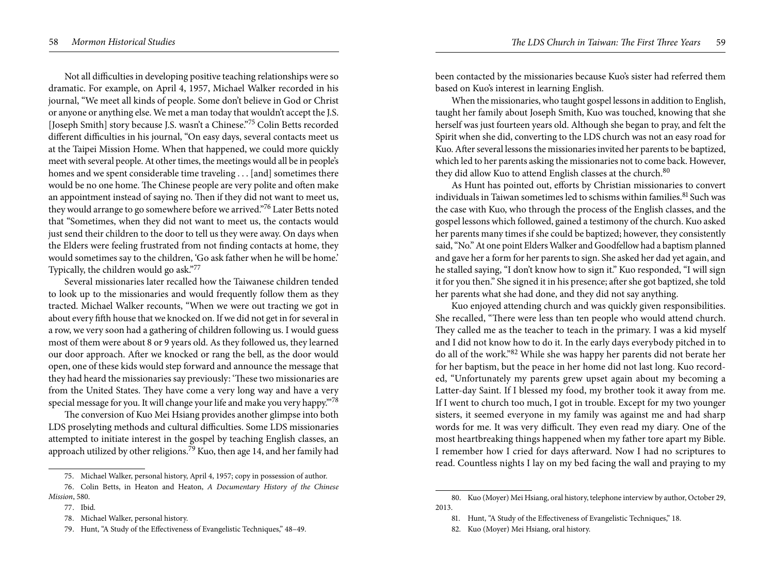Not all difficulties in developing positive teaching relationships were so dramatic. For example, on April 4, 1957, Michael Walker recorded in his journal, "We meet all kinds of people. Some don't believe in God or Christ or anyone or anything else. We met a man today that wouldn't accept the J.S. [Joseph Smith] story because J.S. wasn't a Chinese."75 Colin Betts recorded different difficulties in his journal, "On easy days, several contacts meet us at the Taipei Mission Home. When that happened, we could more quickly meet with several people. At other times, the meetings would all be in people's homes and we spent considerable time traveling . . . [and] sometimes there would be no one home. The Chinese people are very polite and often make an appointment instead of saying no. Then if they did not want to meet us, they would arrange to go somewhere before we arrived."<sup>76</sup> Later Betts noted that "Sometimes, when they did not want to meet us, the contacts would just send their children to the door to tell us they were away. On days when the Elders were feeling frustrated from not finding contacts at home, they would sometimes say to the children, 'Go ask father when he will be home.' Typically, the children would go ask."<sup>77</sup>

Several missionaries later recalled how the Taiwanese children tended to look up to the missionaries and would frequently follow them as they tracted. Michael Walker recounts, "When we were out tracting we got in about every fifth house that we knocked on. If we did not get in for several in a row, we very soon had a gathering of children following us. I would guess most of them were about 8 or 9 years old. As they followed us, they learned our door approach. After we knocked or rang the bell, as the door would open, one of these kids would step forward and announce the message that they had heard the missionaries say previously: 'These two missionaries are from the United States. They have come a very long way and have a very special message for you. It will change your life and make you very happy."78

The conversion of Kuo Mei Hsiang provides another glimpse into both LDS proselyting methods and cultural difficulties. Some LDS missionaries attempted to initiate interest in the gospel by teaching English classes, an approach utilized by other religions.<sup>79</sup> Kuo, then age 14, and her family had been contacted by the missionaries because Kuo's sister had referred them based on Kuo's interest in learning English.

When the missionaries, who taught gospel lessons in addition to English, taught her family about Joseph Smith, Kuo was touched, knowing that she herself was just fourteen years old. Although she began to pray, and felt the Spirit when she did, converting to the LDS church was not an easy road for Kuo. After several lessons the missionaries invited her parents to be baptized, which led to her parents asking the missionaries not to come back. However, they did allow Kuo to attend English classes at the church.<sup>80</sup>

As Hunt has pointed out, efforts by Christian missionaries to convert individuals in Taiwan sometimes led to schisms within families.<sup>81</sup> Such was the case with Kuo, who through the process of the English classes, and the gospel lessons which followed, gained a testimony of the church. Kuo asked her parents many times if she could be baptized; however, they consistently said, "No." At one point Elders Walker and Goodfellow had a baptism planned and gave her a form for her parents to sign. She asked her dad yet again, and he stalled saying, "I don't know how to sign it." Kuo responded, "I will sign it for you then." She signed it in his presence; after she got baptized, she told her parents what she had done, and they did not say anything.

Kuo enjoyed attending church and was quickly given responsibilities. She recalled, "There were less than ten people who would attend church. They called me as the teacher to teach in the primary. I was a kid myself and I did not know how to do it. In the early days everybody pitched in to do all of the work."82 While she was happy her parents did not berate her for her baptism, but the peace in her home did not last long. Kuo recorded, "Unfortunately my parents grew upset again about my becoming a Latter-day Saint. If I blessed my food, my brother took it away from me. If I went to church too much, I got in trouble. Except for my two younger sisters, it seemed everyone in my family was against me and had sharp words for me. It was very difficult. They even read my diary. One of the most heartbreaking things happened when my father tore apart my Bible. I remember how I cried for days afterward. Now I had no scriptures to read. Countless nights I lay on my bed facing the wall and praying to my

<sup>75.</sup> Michael Walker, personal history, April 4, 1957; copy in possession of author.

<sup>76.</sup> Colin Betts, in Heaton and Heaton, *A Documentary History of the Chinese Mission*, 580.

<sup>77.</sup> Ibid.

<sup>78.</sup> Michael Walker, personal history.

<sup>79.</sup> Hunt, "A Study of the Effectiveness of Evangelistic Techniques," 48–49.

<sup>80.</sup> Kuo (Moyer) Mei Hsiang, oral history, telephone interview by author, October 29, 2013.

<sup>81.</sup> Hunt, "A Study of the Effectiveness of Evangelistic Techniques," 18.

<sup>82.</sup> Kuo (Moyer) Mei Hsiang, oral history.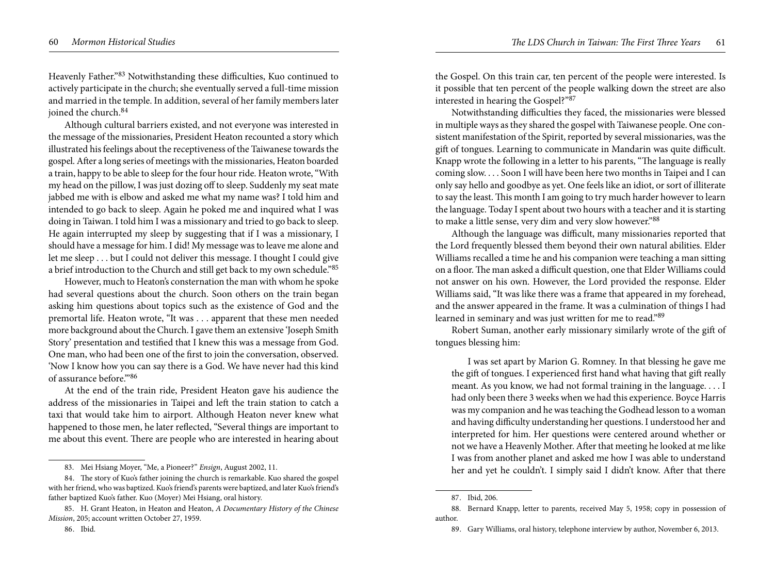Heavenly Father."83 Notwithstanding these difficulties, Kuo continued to actively participate in the church; she eventually served a full-time mission and married in the temple. In addition, several of her family members later joined the church.<sup>84</sup>

Although cultural barriers existed, and not everyone was interested in the message of the missionaries, President Heaton recounted a story which illustrated his feelings about the receptiveness of the Taiwanese towards the gospel. After a long series of meetings with the missionaries, Heaton boarded a train, happy to be able to sleep for the four hour ride. Heaton wrote, "With my head on the pillow, I was just dozing off to sleep. Suddenly my seat mate jabbed me with is elbow and asked me what my name was? I told him and intended to go back to sleep. Again he poked me and inquired what I was doing in Taiwan. I told him I was a missionary and tried to go back to sleep. He again interrupted my sleep by suggesting that if I was a missionary, I should have a message for him. I did! My message was to leave me alone and let me sleep . . . but I could not deliver this message. I thought I could give a brief introduction to the Church and still get back to my own schedule."85

However, much to Heaton's consternation the man with whom he spoke had several questions about the church. Soon others on the train began asking him questions about topics such as the existence of God and the premortal life. Heaton wrote, "It was . . . apparent that these men needed more background about the Church. I gave them an extensive 'Joseph Smith Story' presentation and testified that I knew this was a message from God. One man, who had been one of the first to join the conversation, observed. 'Now I know how you can say there is a God. We have never had this kind of assurance before.'"86

At the end of the train ride, President Heaton gave his audience the address of the missionaries in Taipei and left the train station to catch a taxi that would take him to airport. Although Heaton never knew what happened to those men, he later reflected, "Several things are important to me about this event. There are people who are interested in hearing about

the Gospel. On this train car, ten percent of the people were interested. Is it possible that ten percent of the people walking down the street are also interested in hearing the Gospel?"<sup>87</sup>

Notwithstanding difficulties they faced, the missionaries were blessed in multiple ways as they shared the gospel with Taiwanese people. One consistent manifestation of the Spirit, reported by several missionaries, was the gift of tongues. Learning to communicate in Mandarin was quite difficult. Knapp wrote the following in a letter to his parents, "The language is really coming slow. . . . Soon I will have been here two months in Taipei and I can only say hello and goodbye as yet. One feels like an idiot, or sort of illiterate to say the least. This month I am going to try much harder however to learn the language. Today I spent about two hours with a teacher and it is starting to make a little sense, very dim and very slow however."<sup>88</sup>

Although the language was difficult, many missionaries reported that the Lord frequently blessed them beyond their own natural abilities. Elder Williams recalled a time he and his companion were teaching a man sitting on a floor. The man asked a difficult question, one that Elder Williams could not answer on his own. However, the Lord provided the response. Elder Williams said, "It was like there was a frame that appeared in my forehead, and the answer appeared in the frame. It was a culmination of things I had learned in seminary and was just written for me to read."89

Robert Suman, another early missionary similarly wrote of the gift of tongues blessing him:

I was set apart by Marion G. Romney. In that blessing he gave me the gift of tongues. I experienced first hand what having that gift really meant. As you know, we had not formal training in the language. . . . I had only been there 3 weeks when we had this experience. Boyce Harris was my companion and he was teaching the Godhead lesson to a woman and having difficulty understanding her questions. I understood her and interpreted for him. Her questions were centered around whether or not we have a Heavenly Mother. After that meeting he looked at me like I was from another planet and asked me how I was able to understand her and yet he couldn't. I simply said I didn't know. After that there

<sup>83.</sup> Mei Hsiang Moyer, "Me, a Pioneer?" *Ensign*, August 2002, 11.

<sup>84.</sup> The story of Kuo's father joining the church is remarkable. Kuo shared the gospel with her friend, who was baptized. Kuo's friend's parents were baptized, and later Kuo's friend's father baptized Kuo's father. Kuo (Moyer) Mei Hsiang, oral history.

<sup>85.</sup> H. Grant Heaton, in Heaton and Heaton, *A Documentary History of the Chinese Mission*, 205; account written October 27, 1959.

<sup>86.</sup> Ibid.

<sup>87.</sup> Ibid, 206.

<sup>88.</sup> Bernard Knapp, letter to parents, received May 5, 1958; copy in possession of author.

<sup>89.</sup> Gary Williams, oral history, telephone interview by author, November 6, 2013.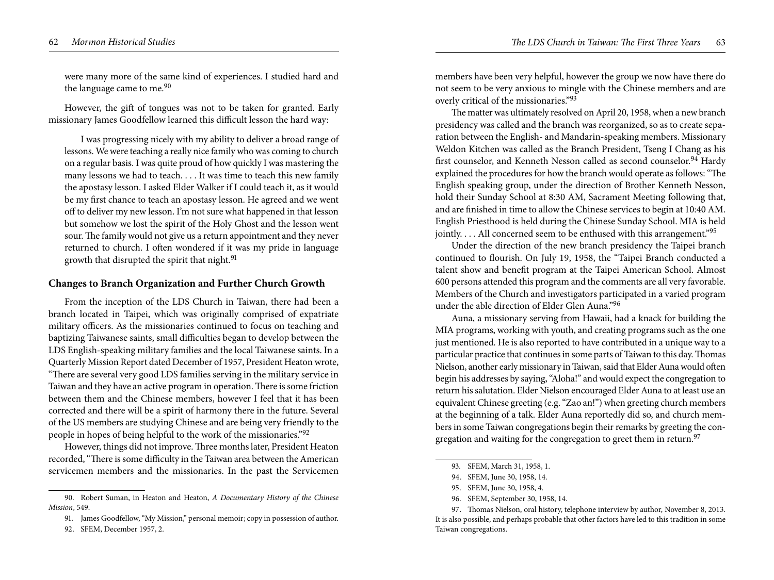were many more of the same kind of experiences. I studied hard and the language came to me.<sup>90</sup>

However, the gift of tongues was not to be taken for granted. Early missionary James Goodfellow learned this difficult lesson the hard way:

I was progressing nicely with my ability to deliver a broad range of lessons. We were teaching a really nice family who was coming to church on a regular basis. I was quite proud of how quickly I was mastering the many lessons we had to teach. . . . It was time to teach this new family the apostasy lesson. I asked Elder Walker if I could teach it, as it would be my first chance to teach an apostasy lesson. He agreed and we went off to deliver my new lesson. I'm not sure what happened in that lesson but somehow we lost the spirit of the Holy Ghost and the lesson went sour. The family would not give us a return appointment and they never returned to church. I often wondered if it was my pride in language growth that disrupted the spirit that night.<sup>91</sup>

## **Changes to Branch Organization and Further Church Growth**

From the inception of the LDS Church in Taiwan, there had been a branch located in Taipei, which was originally comprised of expatriate military officers. As the missionaries continued to focus on teaching and baptizing Taiwanese saints, small difficulties began to develop between the LDS English-speaking military families and the local Taiwanese saints. In a Quarterly Mission Report dated December of 1957, President Heaton wrote, "There are several very good LDS families serving in the military service in Taiwan and they have an active program in operation. There is some friction between them and the Chinese members, however I feel that it has been corrected and there will be a spirit of harmony there in the future. Several of the US members are studying Chinese and are being very friendly to the people in hopes of being helpful to the work of the missionaries."92

However, things did not improve. Three months later, President Heaton recorded, "There is some difficulty in the Taiwan area between the American servicemen members and the missionaries. In the past the Servicemen

members have been very helpful, however the group we now have there do not seem to be very anxious to mingle with the Chinese members and are overly critical of the missionaries."<sup>93</sup>

The matter was ultimately resolved on April 20, 1958, when a new branch presidency was called and the branch was reorganized, so as to create separation between the English- and Mandarin-speaking members. Missionary Weldon Kitchen was called as the Branch President, Tseng I Chang as his first counselor, and Kenneth Nesson called as second counselor.<sup>94</sup> Hardy explained the procedures for how the branch would operate as follows: "The English speaking group, under the direction of Brother Kenneth Nesson, hold their Sunday School at 8:30 AM, Sacrament Meeting following that, and are finished in time to allow the Chinese services to begin at 10:40 AM. English Priesthood is held during the Chinese Sunday School. MIA is held jointly. . . . All concerned seem to be enthused with this arrangement."<sup>95</sup>

Under the direction of the new branch presidency the Taipei branch continued to flourish. On July 19, 1958, the "Taipei Branch conducted a talent show and benefit program at the Taipei American School. Almost 600 persons attended this program and the comments are all very favorable. Members of the Church and investigators participated in a varied program under the able direction of Elder Glen Auna."<sup>96</sup>

Auna, a missionary serving from Hawaii, had a knack for building the MIA programs, working with youth, and creating programs such as the one just mentioned. He is also reported to have contributed in a unique way to a particular practice that continues in some parts of Taiwan to this day. Thomas Nielson, another early missionary in Taiwan, said that Elder Auna would often begin his addresses by saying, "Aloha!" and would expect the congregation to return his salutation. Elder Nielson encouraged Elder Auna to at least use an equivalent Chinese greeting (e.g. "Zao an!") when greeting church members at the beginning of a talk. Elder Auna reportedly did so, and church members in some Taiwan congregations begin their remarks by greeting the congregation and waiting for the congregation to greet them in return.<sup>97</sup>

<sup>90.</sup> Robert Suman, in Heaton and Heaton, *A Documentary History of the Chinese Mission*, 549.

<sup>91.</sup> James Goodfellow, "My Mission," personal memoir; copy in possession of author.

<sup>92.</sup> SFEM, December 1957, 2.

<sup>93.</sup> SFEM, March 31, 1958, 1.

<sup>94.</sup> SFEM, June 30, 1958, 14.

<sup>95.</sup> SFEM, June 30, 1958, 4.

<sup>96.</sup> SFEM, September 30, 1958, 14.

<sup>97.</sup> Thomas Nielson, oral history, telephone interview by author, November 8, 2013. It is also possible, and perhaps probable that other factors have led to this tradition in some Taiwan congregations.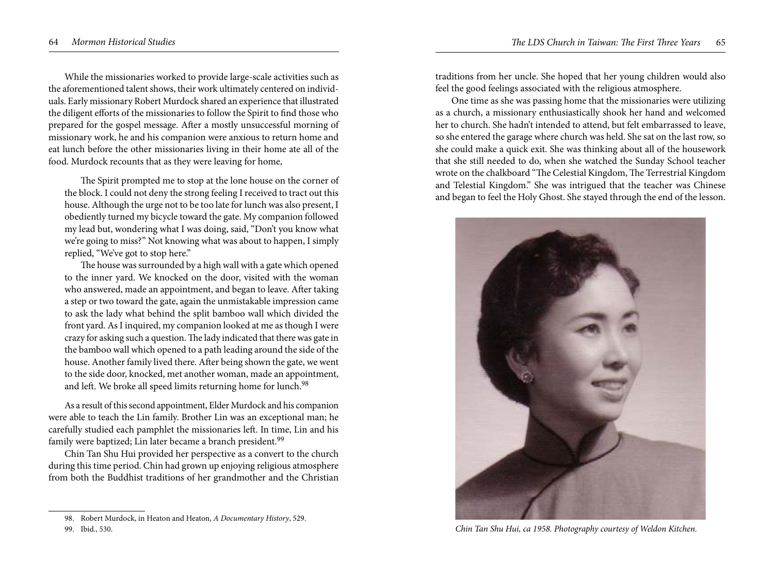While the missionaries worked to provide large-scale activities such as the aforementioned talent shows, their work ultimately centered on individuals. Early missionary Robert Murdock shared an experience that illustrated the diligent efforts of the missionaries to follow the Spirit to find those who prepared for the gospel message. After a mostly unsuccessful morning of missionary work, he and his companion were anxious to return home and eat lunch before the other missionaries living in their home ate all of the food. Murdock recounts that as they were leaving for home,

The Spirit prompted me to stop at the lone house on the corner of the block. I could not deny the strong feeling I received to tract out this house. Although the urge not to be too late for lunch was also present, I obediently turned my bicycle toward the gate. My companion followed my lead but, wondering what I was doing, said, "Don't you know what we're going to miss?" Not knowing what was about to happen, I simply replied, "We've got to stop here."

The house was surrounded by a high wall with a gate which opened to the inner yard. We knocked on the door, visited with the woman who answered, made an appointment, and began to leave. After taking a step or two toward the gate, again the unmistakable impression came to ask the lady what behind the split bamboo wall which divided the front yard. As I inquired, my companion looked at me as though I were crazy for asking such a question. The lady indicated that there was gate in the bamboo wall which opened to a path leading around the side of the house. Another family lived there. After being shown the gate, we went to the side door, knocked, met another woman, made an appointment, and left. We broke all speed limits returning home for lunch.<sup>98</sup>

As a result of this second appointment, Elder Murdock and his companion were able to teach the Lin family. Brother Lin was an exceptional man; he carefully studied each pamphlet the missionaries left. In time, Lin and his family were baptized; Lin later became a branch president.<sup>99</sup>

Chin Tan Shu Hui provided her perspective as a convert to the church during this time period. Chin had grown up enjoying religious atmosphere from both the Buddhist traditions of her grandmother and the Christian

traditions from her uncle. She hoped that her young children would also feel the good feelings associated with the religious atmosphere.

One time as she was passing home that the missionaries were utilizing as a church, a missionary enthusiastically shook her hand and welcomed her to church. She hadn't intended to attend, but felt embarrassed to leave, so she entered the garage where church was held. She sat on the last row, so she could make a quick exit. She was thinking about all of the housework that she still needed to do, when she watched the Sunday School teacher wrote on the chalkboard "The Celestial Kingdom, The Terrestrial Kingdom and Telestial Kingdom." She was intrigued that the teacher was Chinese and began to feel the Holy Ghost. She stayed through the end of the lesson.



*Chin Tan Shu Hui, ca 1958. Photography courtesy of Weldon Kitchen.* 

<sup>98.</sup> Robert Murdock, in Heaton and Heaton, *A Documentary History*, 529.

<sup>99.</sup> Ibid., 530.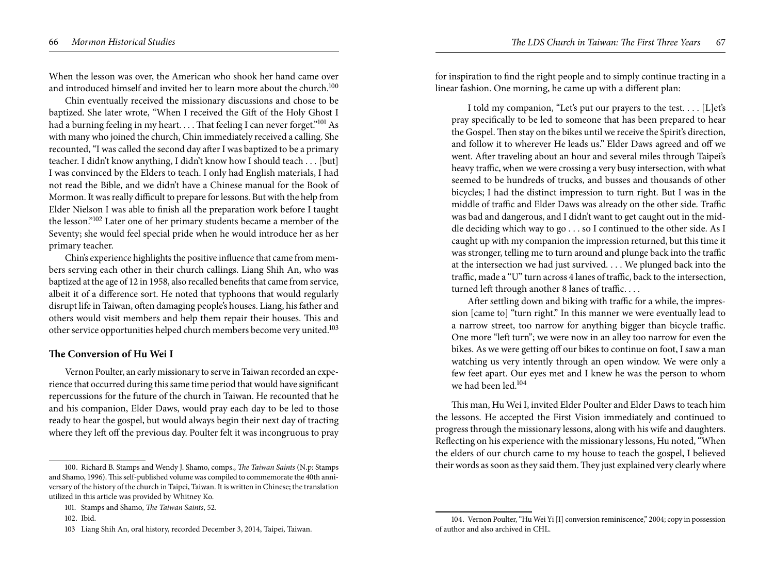When the lesson was over, the American who shook her hand came over and introduced himself and invited her to learn more about the church.<sup>100</sup>

Chin eventually received the missionary discussions and chose to be baptized. She later wrote, "When I received the Gift of the Holy Ghost I had a burning feeling in my heart. . . . That feeling I can never forget."<sup>101</sup> As with many who joined the church, Chin immediately received a calling. She recounted, "I was called the second day after I was baptized to be a primary teacher. I didn't know anything, I didn't know how I should teach . . . [but] I was convinced by the Elders to teach. I only had English materials, I had not read the Bible, and we didn't have a Chinese manual for the Book of Mormon. It was really difficult to prepare for lessons. But with the help from Elder Nielson I was able to finish all the preparation work before I taught the lesson."102 Later one of her primary students became a member of the Seventy; she would feel special pride when he would introduce her as her primary teacher.

Chin's experience highlights the positive influence that came from members serving each other in their church callings. Liang Shih An, who was baptized at the age of 12 in 1958, also recalled benefits that came from service, albeit it of a difference sort. He noted that typhoons that would regularly disrupt life in Taiwan, often damaging people's houses. Liang, his father and others would visit members and help them repair their houses. This and other service opportunities helped church members become very united.103

## **The Conversion of Hu Wei I**

Vernon Poulter, an early missionary to serve in Taiwan recorded an experience that occurred during this same time period that would have significant repercussions for the future of the church in Taiwan. He recounted that he and his companion, Elder Daws, would pray each day to be led to those ready to hear the gospel, but would always begin their next day of tracting where they left off the previous day. Poulter felt it was incongruous to pray

for inspiration to find the right people and to simply continue tracting in a linear fashion. One morning, he came up with a different plan:

I told my companion, "Let's put our prayers to the test. . . . [L]et's pray specifically to be led to someone that has been prepared to hear the Gospel. Then stay on the bikes until we receive the Spirit's direction, and follow it to wherever He leads us." Elder Daws agreed and off we went. After traveling about an hour and several miles through Taipei's heavy traffic, when we were crossing a very busy intersection, with what seemed to be hundreds of trucks, and busses and thousands of other bicycles; I had the distinct impression to turn right. But I was in the middle of traffic and Elder Daws was already on the other side. Traffic was bad and dangerous, and I didn't want to get caught out in the middle deciding which way to go . . . so I continued to the other side. As I caught up with my companion the impression returned, but this time it was stronger, telling me to turn around and plunge back into the traffic at the intersection we had just survived. . . . We plunged back into the traffic, made a "U" turn across 4 lanes of traffic, back to the intersection, turned left through another 8 lanes of traffic. . . .

After settling down and biking with traffic for a while, the impression [came to] "turn right." In this manner we were eventually lead to a narrow street, too narrow for anything bigger than bicycle traffic. One more "left turn"; we were now in an alley too narrow for even the bikes. As we were getting off our bikes to continue on foot, I saw a man watching us very intently through an open window. We were only a few feet apart. Our eyes met and I knew he was the person to whom we had been led  $104$ 

This man, Hu Wei I, invited Elder Poulter and Elder Daws to teach him the lessons. He accepted the First Vision immediately and continued to progress through the missionary lessons, along with his wife and daughters. Reflecting on his experience with the missionary lessons, Hu noted, "When the elders of our church came to my house to teach the gospel, I believed their words as soon as they said them. They just explained very clearly where

<sup>100.</sup> Richard B. Stamps and Wendy J. Shamo, comps., *The Taiwan Saints* (N.p: Stamps and Shamo, 1996). This self-published volume was compiled to commemorate the 40th anniversary of the history of the church in Taipei, Taiwan. It is written in Chinese; the translation utilized in this article was provided by Whitney Ko.

<sup>101.</sup> Stamps and Shamo, *The Taiwan Saints*, 52.

<sup>102.</sup> Ibid.

<sup>103</sup> Liang Shih An, oral history, recorded December 3, 2014, Taipei, Taiwan.

<sup>104.</sup> Vernon Poulter, "Hu Wei Yi [I] conversion reminiscence," 2004; copy in possession of author and also archived in CHL.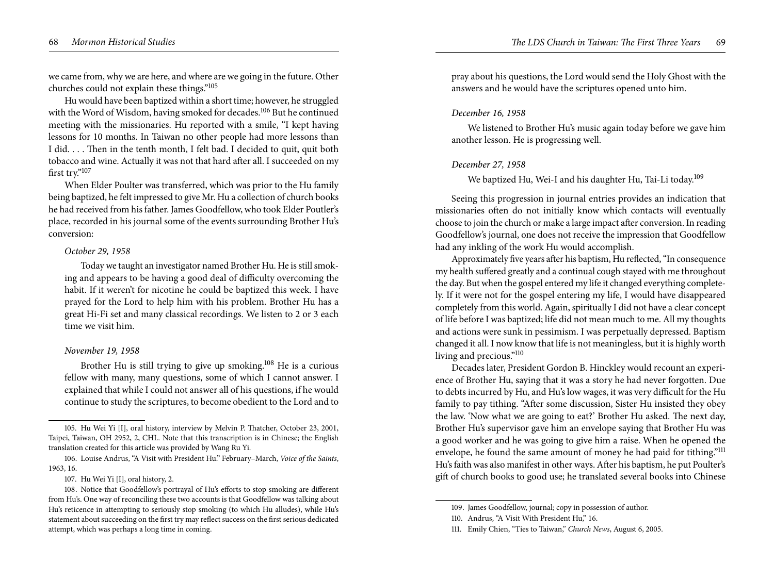we came from, why we are here, and where are we going in the future. Other churches could not explain these things."<sup>105</sup>

Hu would have been baptized within a short time; however, he struggled with the Word of Wisdom, having smoked for decades.<sup>106</sup> But he continued meeting with the missionaries. Hu reported with a smile, "I kept having lessons for 10 months. In Taiwan no other people had more lessons than I did. . . . Then in the tenth month, I felt bad. I decided to quit, quit both tobacco and wine. Actually it was not that hard after all. I succeeded on my first try."<sup>107</sup>

When Elder Poulter was transferred, which was prior to the Hu family being baptized, he felt impressed to give Mr. Hu a collection of church books he had received from his father. James Goodfellow, who took Elder Poutler's place, recorded in his journal some of the events surrounding Brother Hu's conversion:

#### *October 29, 1958*

Today we taught an investigator named Brother Hu. He is still smoking and appears to be having a good deal of difficulty overcoming the habit. If it weren't for nicotine he could be baptized this week. I have prayed for the Lord to help him with his problem. Brother Hu has a great Hi-Fi set and many classical recordings. We listen to 2 or 3 each time we visit him.

#### *November 19, 1958*

Brother Hu is still trying to give up smoking.<sup>108</sup> He is a curious fellow with many, many questions, some of which I cannot answer. I explained that while I could not answer all of his questions, if he would continue to study the scriptures, to become obedient to the Lord and to pray about his questions, the Lord would send the Holy Ghost with the answers and he would have the scriptures opened unto him.

#### *December 16, 1958*

We listened to Brother Hu's music again today before we gave him another lesson. He is progressing well.

#### *December 27, 1958*

# We baptized Hu, Wei-I and his daughter Hu, Tai-Li today.<sup>109</sup>

Seeing this progression in journal entries provides an indication that missionaries often do not initially know which contacts will eventually choose to join the church or make a large impact after conversion. In reading Goodfellow's journal, one does not receive the impression that Goodfellow had any inkling of the work Hu would accomplish.

Approximately five years after his baptism, Hu reflected, "In consequence my health suffered greatly and a continual cough stayed with me throughout the day. But when the gospel entered my life it changed everything completely. If it were not for the gospel entering my life, I would have disappeared completely from this world. Again, spiritually I did not have a clear concept of life before I was baptized; life did not mean much to me. All my thoughts and actions were sunk in pessimism. I was perpetually depressed. Baptism changed it all. I now know that life is not meaningless, but it is highly worth living and precious."<sup>110</sup>

Decades later, President Gordon B. Hinckley would recount an experience of Brother Hu, saying that it was a story he had never forgotten. Due to debts incurred by Hu, and Hu's low wages, it was very difficult for the Hu family to pay tithing. "After some discussion, Sister Hu insisted they obey the law. 'Now what we are going to eat?' Brother Hu asked. The next day, Brother Hu's supervisor gave him an envelope saying that Brother Hu was a good worker and he was going to give him a raise. When he opened the envelope, he found the same amount of money he had paid for tithing."<sup>111</sup> Hu's faith was also manifest in other ways. After his baptism, he put Poulter's gift of church books to good use; he translated several books into Chinese

<sup>105.</sup> Hu Wei Yi [I], oral history, interview by Melvin P. Thatcher, October 23, 2001, Taipei, Taiwan, OH 2952, 2, CHL. Note that this transcription is in Chinese; the English translation created for this article was provided by Wang Ru Yi.

<sup>106.</sup> Louise Andrus, "A Visit with President Hu." February–March, *Voice of the Saints*, 1963, 16.

<sup>107.</sup> Hu Wei Yi [I], oral history, 2.

<sup>108.</sup> Notice that Goodfellow's portrayal of Hu's efforts to stop smoking are different from Hu's. One way of reconciling these two accounts is that Goodfellow was talking about Hu's reticence in attempting to seriously stop smoking (to which Hu alludes), while Hu's statement about succeeding on the first try may reflect success on the first serious dedicated attempt, which was perhaps a long time in coming.

<sup>109.</sup> James Goodfellow, journal; copy in possession of author.

<sup>110.</sup> Andrus, "A Visit With President Hu," 16.

<sup>111.</sup> Emily Chien, "Ties to Taiwan," *Church News*, August 6, 2005.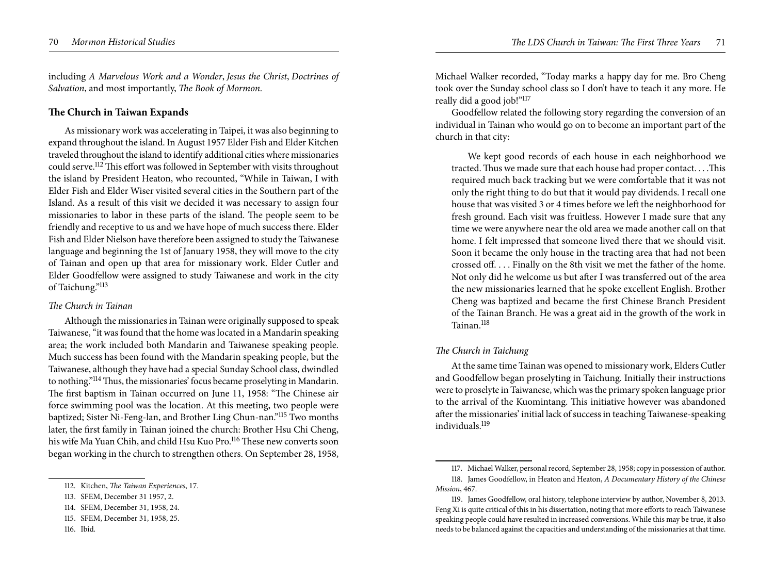including *A Marvelous Work and a Wonder*, *Jesus the Christ*, *Doctrines of Salvation*, and most importantly, *The Book of Mormon*.

# **The Church in Taiwan Expands**

As missionary work was accelerating in Taipei, it was also beginning to expand throughout the island. In August 1957 Elder Fish and Elder Kitchen traveled throughout the island to identify additional cities where missionaries could serve.112 This effort was followed in September with visits throughout the island by President Heaton, who recounted, "While in Taiwan, I with Elder Fish and Elder Wiser visited several cities in the Southern part of the Island. As a result of this visit we decided it was necessary to assign four missionaries to labor in these parts of the island. The people seem to be friendly and receptive to us and we have hope of much success there. Elder Fish and Elder Nielson have therefore been assigned to study the Taiwanese language and beginning the 1st of January 1958, they will move to the city of Tainan and open up that area for missionary work. Elder Cutler and Elder Goodfellow were assigned to study Taiwanese and work in the city of Taichung."<sup>113</sup>

## *The Church in Tainan*

Although the missionaries in Tainan were originally supposed to speak Taiwanese, "it was found that the home was located in a Mandarin speaking area; the work included both Mandarin and Taiwanese speaking people. Much success has been found with the Mandarin speaking people, but the Taiwanese, although they have had a special Sunday School class, dwindled to nothing."114 Thus, the missionaries' focus became proselyting in Mandarin. The first baptism in Tainan occurred on June 11, 1958: "The Chinese air force swimming pool was the location. At this meeting, two people were baptized; Sister Ni-Feng-lan, and Brother Ling Chun-nan."115 Two months later, the first family in Tainan joined the church: Brother Hsu Chi Cheng, his wife Ma Yuan Chih, and child Hsu Kuo Pro.116 These new converts soon began working in the church to strengthen others. On September 28, 1958,

Michael Walker recorded, "Today marks a happy day for me. Bro Cheng took over the Sunday school class so I don't have to teach it any more. He really did a good job!"<sup>117</sup>

Goodfellow related the following story regarding the conversion of an individual in Tainan who would go on to become an important part of the church in that city:

We kept good records of each house in each neighborhood we tracted. Thus we made sure that each house had proper contact. . . .This required much back tracking but we were comfortable that it was not only the right thing to do but that it would pay dividends. I recall one house that was visited 3 or 4 times before we left the neighborhood for fresh ground. Each visit was fruitless. However I made sure that any time we were anywhere near the old area we made another call on that home. I felt impressed that someone lived there that we should visit. Soon it became the only house in the tracting area that had not been crossed off. . . . Finally on the 8th visit we met the father of the home. Not only did he welcome us but after I was transferred out of the area the new missionaries learned that he spoke excellent English. Brother Cheng was baptized and became the first Chinese Branch President of the Tainan Branch. He was a great aid in the growth of the work in Tainan<sup>118</sup>

## *The Church in Taichung*

At the same time Tainan was opened to missionary work, Elders Cutler and Goodfellow began proselyting in Taichung. Initially their instructions were to proselyte in Taiwanese, which was the primary spoken language prior to the arrival of the Kuomintang. This initiative however was abandoned after the missionaries' initial lack of success in teaching Taiwanese-speaking individuals.<sup>119</sup>

<sup>112.</sup> Kitchen, *The Taiwan Experiences*, 17.

<sup>113.</sup> SFEM, December 31 1957, 2.

<sup>114.</sup> SFEM, December 31, 1958, 24.

<sup>115.</sup> SFEM, December 31, 1958, 25.

<sup>116.</sup> Ibid.

<sup>117.</sup> Michael Walker, personal record, September 28, 1958; copy in possession of author. 118. James Goodfellow, in Heaton and Heaton, *A Documentary History of the Chinese Mission*, 467.

<sup>119.</sup> James Goodfellow, oral history, telephone interview by author, November 8, 2013. Feng Xi is quite critical of this in his dissertation, noting that more efforts to reach Taiwanese speaking people could have resulted in increased conversions. While this may be true, it also needs to be balanced against the capacities and understanding of the missionaries at that time.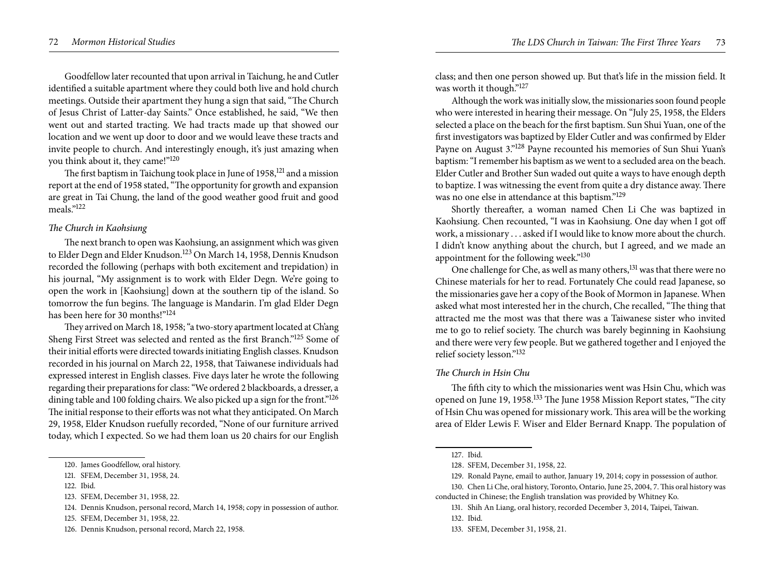Goodfellow later recounted that upon arrival in Taichung, he and Cutler identified a suitable apartment where they could both live and hold church meetings. Outside their apartment they hung a sign that said, "The Church of Jesus Christ of Latter-day Saints." Once established, he said, "We then went out and started tracting. We had tracts made up that showed our location and we went up door to door and we would leave these tracts and invite people to church. And interestingly enough, it's just amazing when you think about it, they came!"120

The first baptism in Taichung took place in June of 1958,<sup>121</sup> and a mission report at the end of 1958 stated, "The opportunity for growth and expansion are great in Tai Chung, the land of the good weather good fruit and good meals."122

## *The Church in Kaohsiung*

The next branch to open was Kaohsiung, an assignment which was given to Elder Degn and Elder Knudson.<sup>123</sup> On March 14, 1958, Dennis Knudson recorded the following (perhaps with both excitement and trepidation) in his journal, "My assignment is to work with Elder Degn. We're going to open the work in [Kaohsiung] down at the southern tip of the island. So tomorrow the fun begins. The language is Mandarin. I'm glad Elder Degn has been here for 30 months!"124

They arrived on March 18, 1958; "a two-story apartment located at Ch'ang Sheng First Street was selected and rented as the first Branch."<sup>125</sup> Some of their initial efforts were directed towards initiating English classes. Knudson recorded in his journal on March 22, 1958, that Taiwanese individuals had expressed interest in English classes. Five days later he wrote the following regarding their preparations for class: "We ordered 2 blackboards, a dresser, a dining table and 100 folding chairs. We also picked up a sign for the front."<sup>126</sup> The initial response to their efforts was not what they anticipated. On March 29, 1958, Elder Knudson ruefully recorded, "None of our furniture arrived today, which I expected. So we had them loan us 20 chairs for our English

122. Ibid.

class; and then one person showed up. But that's life in the mission field. It was worth it though."127

Although the work was initially slow, the missionaries soon found people who were interested in hearing their message. On "July 25, 1958, the Elders selected a place on the beach for the first baptism. Sun Shui Yuan, one of the first investigators was baptized by Elder Cutler and was confirmed by Elder Payne on August 3."128 Payne recounted his memories of Sun Shui Yuan's baptism: "I remember his baptism as we went to a secluded area on the beach. Elder Cutler and Brother Sun waded out quite a ways to have enough depth to baptize. I was witnessing the event from quite a dry distance away. There was no one else in attendance at this baptism."129

Shortly thereafter, a woman named Chen Li Che was baptized in Kaohsiung. Chen recounted, "I was in Kaohsiung. One day when I got off work, a missionary . . . asked if I would like to know more about the church. I didn't know anything about the church, but I agreed, and we made an appointment for the following week."130

One challenge for Che, as well as many others,<sup>131</sup> was that there were no Chinese materials for her to read. Fortunately Che could read Japanese, so the missionaries gave her a copy of the Book of Mormon in Japanese. When asked what most interested her in the church, Che recalled, "The thing that attracted me the most was that there was a Taiwanese sister who invited me to go to relief society. The church was barely beginning in Kaohsiung and there were very few people. But we gathered together and I enjoyed the relief society lesson."<sup>132</sup>

#### *The Church in Hsin Chu*

The fifth city to which the missionaries went was Hsin Chu, which was opened on June 19, 1958.133 The June 1958 Mission Report states, "The city of Hsin Chu was opened for missionary work. This area will be the working area of Elder Lewis F. Wiser and Elder Bernard Knapp. The population of

<sup>120.</sup> James Goodfellow, oral history.

<sup>121.</sup> SFEM, December 31, 1958, 24.

<sup>123.</sup> SFEM, December 31, 1958, 22.

<sup>124.</sup> Dennis Knudson, personal record, March 14, 1958; copy in possession of author.

<sup>125.</sup> SFEM, December 31, 1958, 22.

<sup>126.</sup> Dennis Knudson, personal record, March 22, 1958.

<sup>127.</sup> Ibid.

<sup>128.</sup> SFEM, December 31, 1958, 22.

<sup>129.</sup> Ronald Payne, email to author, January 19, 2014; copy in possession of author.

<sup>130.</sup> Chen Li Che, oral history, Toronto, Ontario, June 25, 2004, 7. This oral history was conducted in Chinese; the English translation was provided by Whitney Ko.

<sup>131.</sup> Shih An Liang, oral history, recorded December 3, 2014, Taipei, Taiwan.

<sup>132.</sup> Ibid.

<sup>133.</sup> SFEM, December 31, 1958, 21.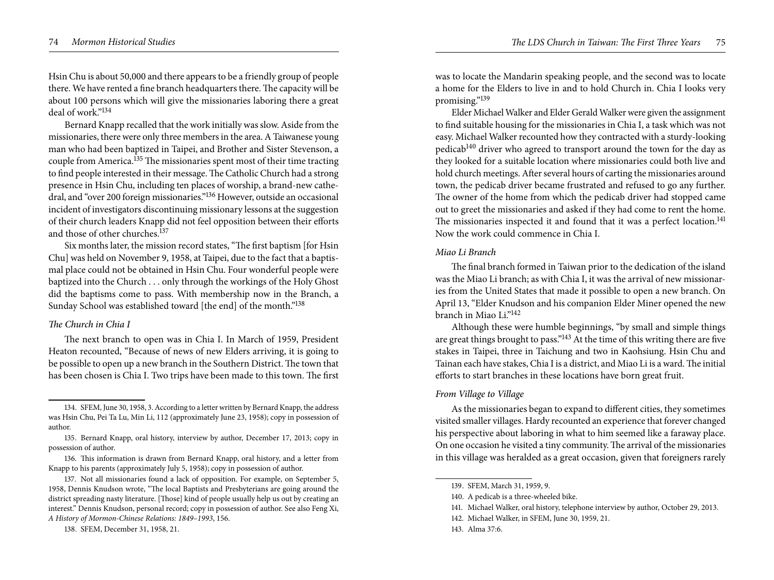Hsin Chu is about 50,000 and there appears to be a friendly group of people there. We have rented a fine branch headquarters there. The capacity will be about 100 persons which will give the missionaries laboring there a great deal of work."<sup>134</sup>

Bernard Knapp recalled that the work initially was slow. Aside from the missionaries, there were only three members in the area. A Taiwanese young man who had been baptized in Taipei, and Brother and Sister Stevenson, a couple from America.135 The missionaries spent most of their time tracting to find people interested in their message. The Catholic Church had a strong presence in Hsin Chu, including ten places of worship, a brand-new cathedral, and "over 200 foreign missionaries."136 However, outside an occasional incident of investigators discontinuing missionary lessons at the suggestion of their church leaders Knapp did not feel opposition between their efforts and those of other churches.137

Six months later, the mission record states, "The first baptism [for Hsin Chu] was held on November 9, 1958, at Taipei, due to the fact that a baptismal place could not be obtained in Hsin Chu. Four wonderful people were baptized into the Church . . . only through the workings of the Holy Ghost did the baptisms come to pass. With membership now in the Branch, a Sunday School was established toward [the end] of the month."138

#### *The Church in Chia I*

The next branch to open was in Chia I. In March of 1959, President Heaton recounted, "Because of news of new Elders arriving, it is going to be possible to open up a new branch in the Southern District. The town that has been chosen is Chia I. Two trips have been made to this town. The first

138. SFEM, December 31, 1958, 21.

was to locate the Mandarin speaking people, and the second was to locate a home for the Elders to live in and to hold Church in. Chia I looks very promising."<sup>139</sup>

Elder Michael Walker and Elder Gerald Walker were given the assignment to find suitable housing for the missionaries in Chia I, a task which was not easy. Michael Walker recounted how they contracted with a sturdy-looking pedicab<sup>140</sup> driver who agreed to transport around the town for the day as they looked for a suitable location where missionaries could both live and hold church meetings. After several hours of carting the missionaries around town, the pedicab driver became frustrated and refused to go any further. The owner of the home from which the pedicab driver had stopped came out to greet the missionaries and asked if they had come to rent the home. The missionaries inspected it and found that it was a perfect location.<sup>141</sup> Now the work could commence in Chia I.

#### *Miao Li Branch*

The final branch formed in Taiwan prior to the dedication of the island was the Miao Li branch; as with Chia I, it was the arrival of new missionaries from the United States that made it possible to open a new branch. On April 13, "Elder Knudson and his companion Elder Miner opened the new branch in Miao Li<sup>"142</sup>

Although these were humble beginnings, "by small and simple things are great things brought to pass."143 At the time of this writing there are five stakes in Taipei, three in Taichung and two in Kaohsiung. Hsin Chu and Tainan each have stakes, Chia I is a district, and Miao Li is a ward. The initial efforts to start branches in these locations have born great fruit.

## *From Village to Village*

As the missionaries began to expand to different cities, they sometimes visited smaller villages. Hardy recounted an experience that forever changed his perspective about laboring in what to him seemed like a faraway place. On one occasion he visited a tiny community. The arrival of the missionaries in this village was heralded as a great occasion, given that foreigners rarely

<sup>134.</sup> SFEM, June 30, 1958, 3. According to a letter written by Bernard Knapp, the address was Hsin Chu, Pei Ta Lu, Min Li, 112 (approximately June 23, 1958); copy in possession of author.

<sup>135.</sup> Bernard Knapp, oral history, interview by author, December 17, 2013; copy in possession of author.

<sup>136.</sup> This information is drawn from Bernard Knapp, oral history, and a letter from Knapp to his parents (approximately July 5, 1958); copy in possession of author.

<sup>137.</sup> Not all missionaries found a lack of opposition. For example, on September 5, 1958, Dennis Knudson wrote, "The local Baptists and Presbyterians are going around the district spreading nasty literature. [Those] kind of people usually help us out by creating an interest." Dennis Knudson, personal record; copy in possession of author. See also Feng Xi, *A History of Mormon-Chinese Relations: 1849–1993*, 156.

<sup>139.</sup> SFEM, March 31, 1959, 9.

<sup>140.</sup> A pedicab is a three-wheeled bike.

<sup>141.</sup> Michael Walker, oral history, telephone interview by author, October 29, 2013.

<sup>142.</sup> Michael Walker, in SFEM, June 30, 1959, 21.

<sup>143.</sup> Alma 37:6.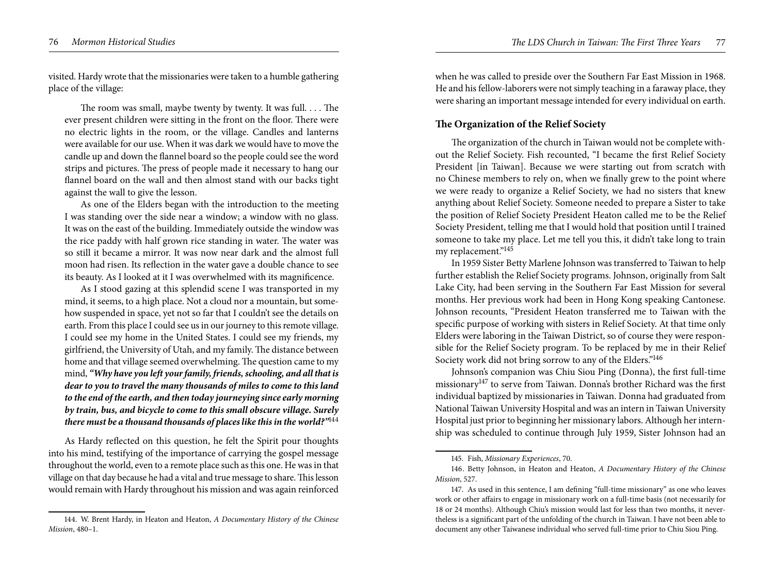visited. Hardy wrote that the missionaries were taken to a humble gathering place of the village:

The room was small, maybe twenty by twenty. It was full. . . . The ever present children were sitting in the front on the floor. There were no electric lights in the room, or the village. Candles and lanterns were available for our use. When it was dark we would have to move the candle up and down the flannel board so the people could see the word strips and pictures. The press of people made it necessary to hang our flannel board on the wall and then almost stand with our backs tight against the wall to give the lesson.

As one of the Elders began with the introduction to the meeting I was standing over the side near a window; a window with no glass. It was on the east of the building. Immediately outside the window was the rice paddy with half grown rice standing in water. The water was so still it became a mirror. It was now near dark and the almost full moon had risen. Its reflection in the water gave a double chance to see its beauty. As I looked at it I was overwhelmed with its magnificence.

As I stood gazing at this splendid scene I was transported in my mind, it seems, to a high place. Not a cloud nor a mountain, but somehow suspended in space, yet not so far that I couldn't see the details on earth. From this place I could see us in our journey to this remote village. I could see my home in the United States. I could see my friends, my girlfriend, the University of Utah, and my family. The distance between home and that village seemed overwhelming. The question came to my mind, *"Why have you left your family, friends, schooling, and all that is dear to you to travel the many thousands of miles to come to this land to the end of the earth, and then today journeying since early morning by train, bus, and bicycle to come to this small obscure village. Surely there must be a thousand thousands of places like this in the world?"*<sup>144</sup>

As Hardy reflected on this question, he felt the Spirit pour thoughts into his mind, testifying of the importance of carrying the gospel message throughout the world, even to a remote place such as this one. He was in that village on that day because he had a vital and true message to share. This lesson would remain with Hardy throughout his mission and was again reinforced

when he was called to preside over the Southern Far East Mission in 1968. He and his fellow-laborers were not simply teaching in a faraway place, they were sharing an important message intended for every individual on earth.

# **The Organization of the Relief Society**

The organization of the church in Taiwan would not be complete without the Relief Society. Fish recounted, "I became the first Relief Society President [in Taiwan]. Because we were starting out from scratch with no Chinese members to rely on, when we finally grew to the point where we were ready to organize a Relief Society, we had no sisters that knew anything about Relief Society. Someone needed to prepare a Sister to take the position of Relief Society President Heaton called me to be the Relief Society President, telling me that I would hold that position until I trained someone to take my place. Let me tell you this, it didn't take long to train my replacement."<sup>145</sup>

In 1959 Sister Betty Marlene Johnson was transferred to Taiwan to help further establish the Relief Society programs. Johnson, originally from Salt Lake City, had been serving in the Southern Far East Mission for several months. Her previous work had been in Hong Kong speaking Cantonese. Johnson recounts, "President Heaton transferred me to Taiwan with the specific purpose of working with sisters in Relief Society. At that time only Elders were laboring in the Taiwan District, so of course they were responsible for the Relief Society program. To be replaced by me in their Relief Society work did not bring sorrow to any of the Elders.<sup>"146</sup>

Johnson's companion was Chiu Siou Ping (Donna), the first full-time missionary<sup>147</sup> to serve from Taiwan. Donna's brother Richard was the first individual baptized by missionaries in Taiwan. Donna had graduated from National Taiwan University Hospital and was an intern in Taiwan University Hospital just prior to beginning her missionary labors. Although her internship was scheduled to continue through July 1959, Sister Johnson had an

<sup>144.</sup> W. Brent Hardy, in Heaton and Heaton, *A Documentary History of the Chinese Mission*, 480–1.

<sup>145.</sup> Fish, *Missionary Experiences*, 70.

<sup>146.</sup> Betty Johnson, in Heaton and Heaton, *A Documentary History of the Chinese Mission*, 527.

<sup>147.</sup> As used in this sentence, I am defining "full-time missionary" as one who leaves work or other affairs to engage in missionary work on a full-time basis (not necessarily for 18 or 24 months). Although Chiu's mission would last for less than two months, it nevertheless is a significant part of the unfolding of the church in Taiwan. I have not been able to document any other Taiwanese individual who served full-time prior to Chiu Siou Ping.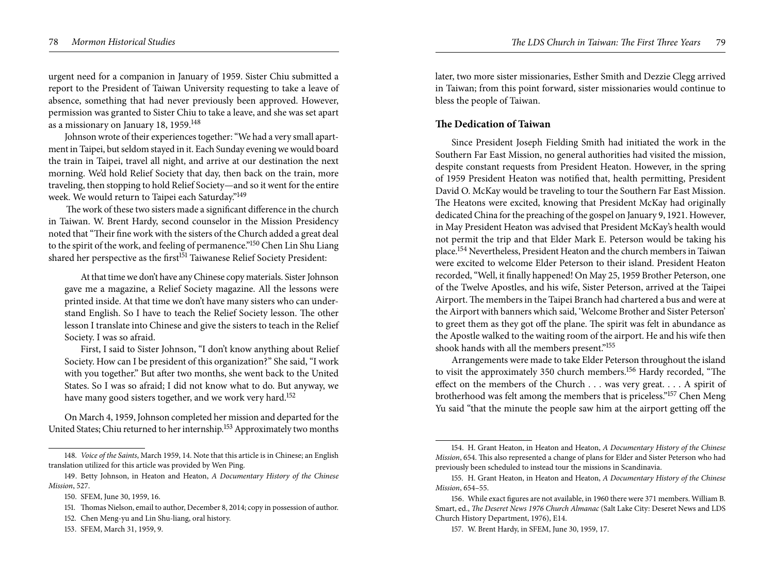urgent need for a companion in January of 1959. Sister Chiu submitted a report to the President of Taiwan University requesting to take a leave of absence, something that had never previously been approved. However, permission was granted to Sister Chiu to take a leave, and she was set apart as a missionary on January 18, 1959.148

Johnson wrote of their experiences together: "We had a very small apartment in Taipei, but seldom stayed in it. Each Sunday evening we would board the train in Taipei, travel all night, and arrive at our destination the next morning. We'd hold Relief Society that day, then back on the train, more traveling, then stopping to hold Relief Society—and so it went for the entire week. We would return to Taipei each Saturday."<sup>149</sup>

 The work of these two sisters made a significant difference in the church in Taiwan. W. Brent Hardy, second counselor in the Mission Presidency noted that "Their fine work with the sisters of the Church added a great deal to the spirit of the work, and feeling of permanence."150 Chen Lin Shu Liang shared her perspective as the first<sup>151</sup> Taiwanese Relief Society President:

At that time we don't have any Chinese copy materials. Sister Johnson gave me a magazine, a Relief Society magazine. All the lessons were printed inside. At that time we don't have many sisters who can understand English. So I have to teach the Relief Society lesson. The other lesson I translate into Chinese and give the sisters to teach in the Relief Society. I was so afraid.

First, I said to Sister Johnson, "I don't know anything about Relief Society. How can I be president of this organization?" She said, "I work with you together." But after two months, she went back to the United States. So I was so afraid; I did not know what to do. But anyway, we have many good sisters together, and we work very hard.<sup>152</sup>

On March 4, 1959, Johnson completed her mission and departed for the United States; Chiu returned to her internship.<sup>153</sup> Approximately two months

later, two more sister missionaries, Esther Smith and Dezzie Clegg arrived in Taiwan; from this point forward, sister missionaries would continue to bless the people of Taiwan.

# **The Dedication of Taiwan**

Since President Joseph Fielding Smith had initiated the work in the Southern Far East Mission, no general authorities had visited the mission, despite constant requests from President Heaton. However, in the spring of 1959 President Heaton was notified that, health permitting, President David O. McKay would be traveling to tour the Southern Far East Mission. The Heatons were excited, knowing that President McKay had originally dedicated China for the preaching of the gospel on January 9, 1921. However, in May President Heaton was advised that President McKay's health would not permit the trip and that Elder Mark E. Peterson would be taking his place.154 Nevertheless, President Heaton and the church members in Taiwan were excited to welcome Elder Peterson to their island. President Heaton recorded, "Well, it finally happened! On May 25, 1959 Brother Peterson, one of the Twelve Apostles, and his wife, Sister Peterson, arrived at the Taipei Airport. The members in the Taipei Branch had chartered a bus and were at the Airport with banners which said, 'Welcome Brother and Sister Peterson' to greet them as they got off the plane. The spirit was felt in abundance as the Apostle walked to the waiting room of the airport. He and his wife then shook hands with all the members present."155

Arrangements were made to take Elder Peterson throughout the island to visit the approximately 350 church members.156 Hardy recorded, "The effect on the members of the Church . . . was very great. . . . A spirit of brotherhood was felt among the members that is priceless."157 Chen Meng Yu said "that the minute the people saw him at the airport getting off the

<sup>148.</sup> *Voice of the Saints*, March 1959, 14. Note that this article is in Chinese; an English translation utilized for this article was provided by Wen Ping.

<sup>149.</sup> Betty Johnson, in Heaton and Heaton, *A Documentary History of the Chinese Mission*, 527.

<sup>150.</sup> SFEM, June 30, 1959, 16.

<sup>151.</sup> Thomas Nielson, email to author, December 8, 2014; copy in possession of author.

<sup>152.</sup> Chen Meng-yu and Lin Shu-liang, oral history.

<sup>153.</sup> SFEM, March 31, 1959, 9.

<sup>154.</sup> H. Grant Heaton, in Heaton and Heaton, *A Documentary History of the Chinese Mission*, 654. This also represented a change of plans for Elder and Sister Peterson who had previously been scheduled to instead tour the missions in Scandinavia.

<sup>155.</sup> H. Grant Heaton, in Heaton and Heaton, *A Documentary History of the Chinese Mission*, 654–55.

<sup>156.</sup> While exact figures are not available, in 1960 there were 371 members. William B. Smart, ed., *The Deseret News 1976 Church Almanac* (Salt Lake City: Deseret News and LDS Church History Department, 1976), E14.

<sup>157.</sup> W. Brent Hardy, in SFEM, June 30, 1959, 17.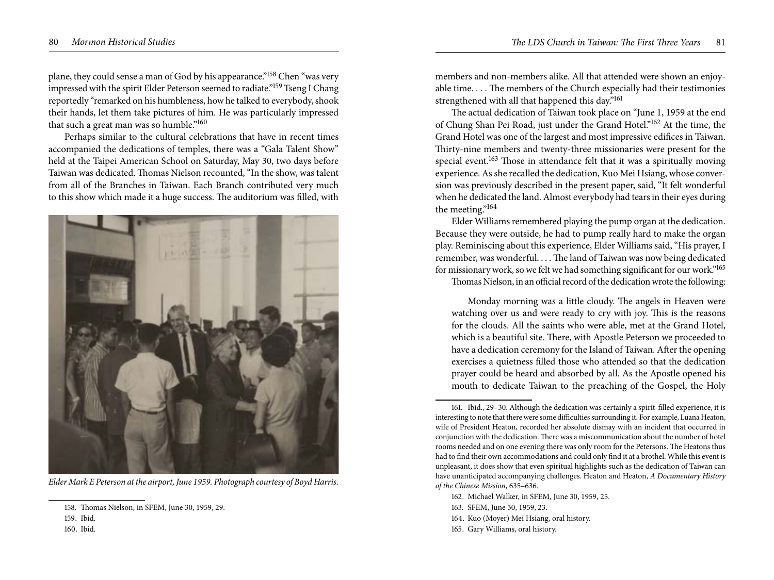plane, they could sense a man of God by his appearance."158 Chen "was very impressed with the spirit Elder Peterson seemed to radiate."159 Tseng I Chang reportedly "remarked on his humbleness, how he talked to everybody, shook their hands, let them take pictures of him. He was particularly impressed that such a great man was so humble."160

Perhaps similar to the cultural celebrations that have in recent times accompanied the dedications of temples, there was a "Gala Talent Show" held at the Taipei American School on Saturday, May 30, two days before Taiwan was dedicated. Thomas Nielson recounted, "In the show, was talent from all of the Branches in Taiwan. Each Branch contributed very much to this show which made it a huge success. The auditorium was filled, with



*Elder Mark E Peterson at the airport, June 1959. Photograph courtesy of Boyd Harris.* 

160. Ibid.

members and non-members alike. All that attended were shown an enjoyable time. . . . The members of the Church especially had their testimonies strengthened with all that happened this day."<sup>161</sup>

The actual dedication of Taiwan took place on "June 1, 1959 at the end of Chung Shan Pei Road, just under the Grand Hotel."162 At the time, the Grand Hotel was one of the largest and most impressive edifices in Taiwan. Thirty-nine members and twenty-three missionaries were present for the special event.<sup>163</sup> Those in attendance felt that it was a spiritually moving experience. As she recalled the dedication, Kuo Mei Hsiang, whose conversion was previously described in the present paper, said, "It felt wonderful when he dedicated the land. Almost everybody had tears in their eyes during the meeting."164

Elder Williams remembered playing the pump organ at the dedication. Because they were outside, he had to pump really hard to make the organ play. Reminiscing about this experience, Elder Williams said, "His prayer, I remember, was wonderful. . . . The land of Taiwan was now being dedicated for missionary work, so we felt we had something significant for our work."165

Thomas Nielson, in an official record of the dedication wrote the following:

Monday morning was a little cloudy. The angels in Heaven were watching over us and were ready to cry with joy. This is the reasons for the clouds. All the saints who were able, met at the Grand Hotel, which is a beautiful site. There, with Apostle Peterson we proceeded to have a dedication ceremony for the Island of Taiwan. After the opening exercises a quietness filled those who attended so that the dedication prayer could be heard and absorbed by all. As the Apostle opened his mouth to dedicate Taiwan to the preaching of the Gospel, the Holy

161. Ibid., 29–30. Although the dedication was certainly a spirit-filled experience, it is interesting to note that there were some difficulties surrounding it. For example, Luana Heaton, wife of President Heaton, recorded her absolute dismay with an incident that occurred in conjunction with the dedication. There was a miscommunication about the number of hotel rooms needed and on one evening there was only room for the Petersons. The Heatons thus had to find their own accommodations and could only find it at a brothel. While this event is unpleasant, it does show that even spiritual highlights such as the dedication of Taiwan can have unanticipated accompanying challenges. Heaton and Heaton, *A Documentary History of the Chinese Mission*, 635–636.

- 162. Michael Walker, in SFEM, June 30, 1959, 25.
- 163. SFEM, June 30, 1959, 23.
- 164. Kuo (Moyer) Mei Hsiang, oral history.
- 165. Gary Williams, oral history.

<sup>158.</sup> Thomas Nielson, in SFEM, June 30, 1959, 29.

<sup>159.</sup> Ibid.